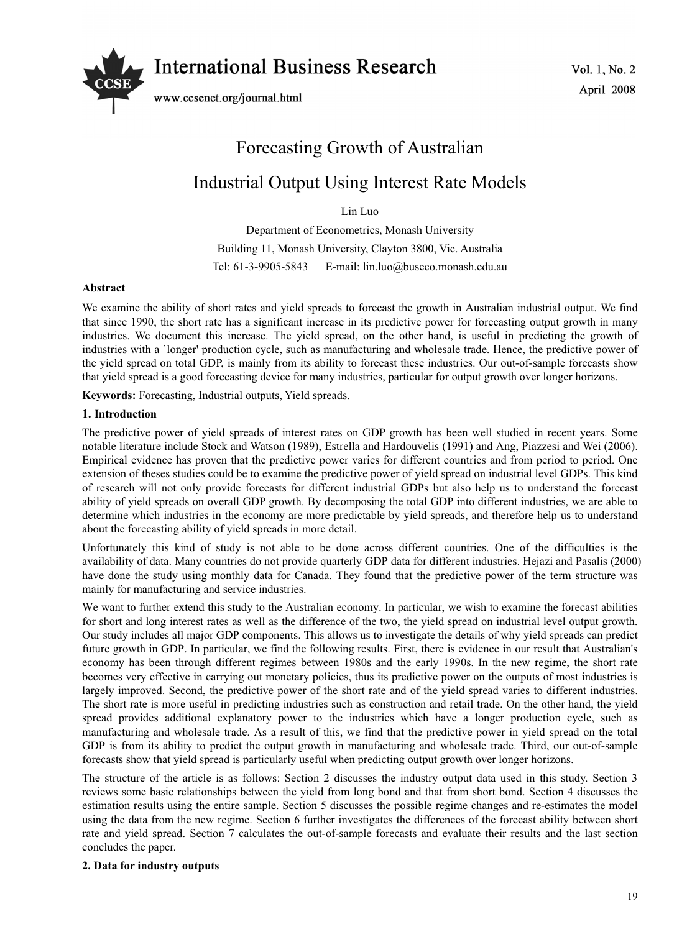

# Forecasting Growth of Australian Industrial Output Using Interest Rate Models

Lin Luo

Department of Econometrics, Monash University Building 11, Monash University, Clayton 3800, Vic. Australia Tel: 61-3-9905-5843 E-mail: lin.luo@buseco.monash.edu.au

## **Abstract**

We examine the ability of short rates and yield spreads to forecast the growth in Australian industrial output. We find that since 1990, the short rate has a significant increase in its predictive power for forecasting output growth in many industries. We document this increase. The yield spread, on the other hand, is useful in predicting the growth of industries with a `longer' production cycle, such as manufacturing and wholesale trade. Hence, the predictive power of the yield spread on total GDP, is mainly from its ability to forecast these industries. Our out-of-sample forecasts show that yield spread is a good forecasting device for many industries, particular for output growth over longer horizons.

**Keywords:** Forecasting, Industrial outputs, Yield spreads.

## **1. Introduction**

The predictive power of yield spreads of interest rates on GDP growth has been well studied in recent years. Some notable literature include Stock and Watson (1989), Estrella and Hardouvelis (1991) and Ang, Piazzesi and Wei (2006). Empirical evidence has proven that the predictive power varies for different countries and from period to period. One extension of theses studies could be to examine the predictive power of yield spread on industrial level GDPs. This kind of research will not only provide forecasts for different industrial GDPs but also help us to understand the forecast ability of yield spreads on overall GDP growth. By decomposing the total GDP into different industries, we are able to determine which industries in the economy are more predictable by yield spreads, and therefore help us to understand about the forecasting ability of yield spreads in more detail.

Unfortunately this kind of study is not able to be done across different countries. One of the difficulties is the availability of data. Many countries do not provide quarterly GDP data for different industries. Hejazi and Pasalis (2000) have done the study using monthly data for Canada. They found that the predictive power of the term structure was mainly for manufacturing and service industries.

We want to further extend this study to the Australian economy. In particular, we wish to examine the forecast abilities for short and long interest rates as well as the difference of the two, the yield spread on industrial level output growth. Our study includes all major GDP components. This allows us to investigate the details of why yield spreads can predict future growth in GDP. In particular, we find the following results. First, there is evidence in our result that Australian's economy has been through different regimes between 1980s and the early 1990s. In the new regime, the short rate becomes very effective in carrying out monetary policies, thus its predictive power on the outputs of most industries is largely improved. Second, the predictive power of the short rate and of the yield spread varies to different industries. The short rate is more useful in predicting industries such as construction and retail trade. On the other hand, the yield spread provides additional explanatory power to the industries which have a longer production cycle, such as manufacturing and wholesale trade. As a result of this, we find that the predictive power in yield spread on the total GDP is from its ability to predict the output growth in manufacturing and wholesale trade. Third, our out-of-sample forecasts show that yield spread is particularly useful when predicting output growth over longer horizons.

The structure of the article is as follows: Section 2 discusses the industry output data used in this study. Section 3 reviews some basic relationships between the yield from long bond and that from short bond. Section 4 discusses the estimation results using the entire sample. Section 5 discusses the possible regime changes and re-estimates the model using the data from the new regime. Section 6 further investigates the differences of the forecast ability between short rate and yield spread. Section 7 calculates the out-of-sample forecasts and evaluate their results and the last section concludes the paper.

# **2. Data for industry outputs**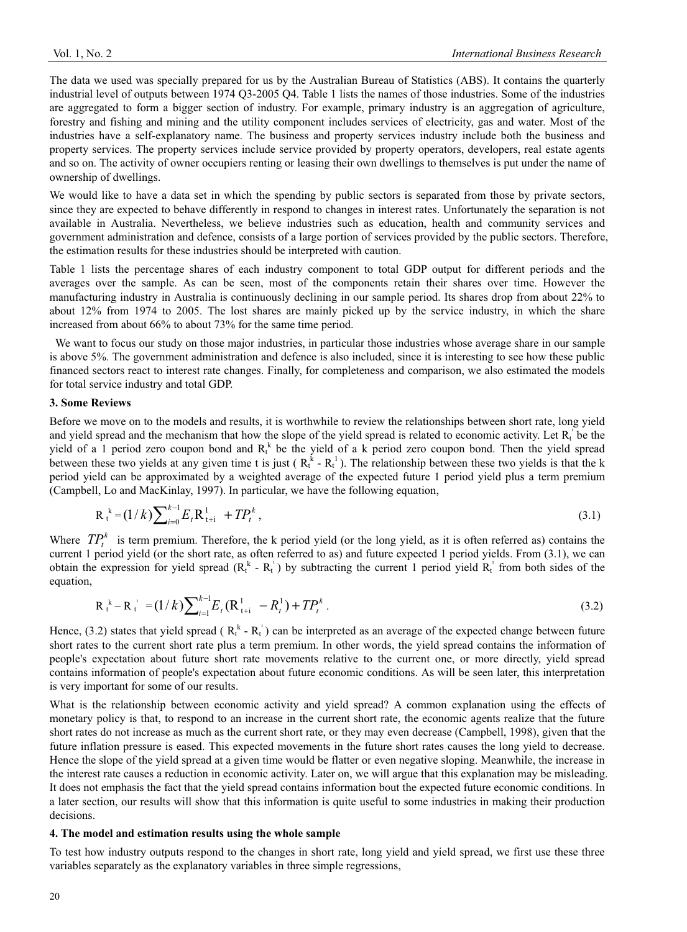The data we used was specially prepared for us by the Australian Bureau of Statistics (ABS). It contains the quarterly industrial level of outputs between 1974 Q3-2005 Q4. Table 1 lists the names of those industries. Some of the industries are aggregated to form a bigger section of industry. For example, primary industry is an aggregation of agriculture, forestry and fishing and mining and the utility component includes services of electricity, gas and water. Most of the industries have a self-explanatory name. The business and property services industry include both the business and property services. The property services include service provided by property operators, developers, real estate agents and so on. The activity of owner occupiers renting or leasing their own dwellings to themselves is put under the name of ownership of dwellings.

We would like to have a data set in which the spending by public sectors is separated from those by private sectors, since they are expected to behave differently in respond to changes in interest rates. Unfortunately the separation is not available in Australia. Nevertheless, we believe industries such as education, health and community services and government administration and defence, consists of a large portion of services provided by the public sectors. Therefore, the estimation results for these industries should be interpreted with caution.

Table 1 lists the percentage shares of each industry component to total GDP output for different periods and the averages over the sample. As can be seen, most of the components retain their shares over time. However the manufacturing industry in Australia is continuously declining in our sample period. Its shares drop from about 22% to about 12% from 1974 to 2005. The lost shares are mainly picked up by the service industry, in which the share increased from about 66% to about 73% for the same time period.

We want to focus our study on those major industries, in particular those industries whose average share in our sample is above 5%. The government administration and defence is also included, since it is interesting to see how these public financed sectors react to interest rate changes. Finally, for completeness and comparison, we also estimated the models for total service industry and total GDP.

#### **3. Some Reviews**

Before we move on to the models and results, it is worthwhile to review the relationships between short rate, long yield and yield spread and the mechanism that how the slope of the yield spread is related to economic activity. Let  $R_t^{\dagger}$  be the yield of a 1 period zero coupon bond and  $R_t^k$  be the yield of a k period zero coupon bond. Then the yield spread between these two yields at any given time t is just  $(R_t^k - R_t^1)$ . The relationship between these two yields is that the k period yield can be approximated by a weighted average of the expected future 1 period yield plus a term premium (Campbell, Lo and MacKinlay, 1997). In particular, we have the following equation,

$$
R_t^k = (1/k) \sum_{i=0}^{k-1} E_i R_{t+i}^1 + T P_t^k, \qquad (3.1)
$$

Where  $TP_t^k$  is term premium. Therefore, the k period yield (or the long yield, as it is often referred as) contains the current 1 period yield (or the short rate, as often referred to as) and future expected 1 period yields. From (3.1), we can obtain the expression for yield spread  $(R_t^k - R_t^{\dagger})$  by subtracting the current 1 period yield  $R_t^{\dagger}$  from both sides of the equation,

$$
R_t^k - R_t^{\dagger} = (1/k) \sum_{i=1}^{k-1} E_t (R_{t+i}^1 - R_t^1) + T P_t^k . \tag{3.2}
$$

Hence, (3.2) states that yield spread ( $R_t^k - R_t^{\dagger}$ ) can be interpreted as an average of the expected change between future short rates to the current short rate plus a term premium. In other words, the yield spread contains the information of people's expectation about future short rate movements relative to the current one, or more directly, yield spread contains information of people's expectation about future economic conditions. As will be seen later, this interpretation is very important for some of our results.

What is the relationship between economic activity and yield spread? A common explanation using the effects of monetary policy is that, to respond to an increase in the current short rate, the economic agents realize that the future short rates do not increase as much as the current short rate, or they may even decrease (Campbell, 1998), given that the future inflation pressure is eased. This expected movements in the future short rates causes the long yield to decrease. Hence the slope of the yield spread at a given time would be flatter or even negative sloping. Meanwhile, the increase in the interest rate causes a reduction in economic activity. Later on, we will argue that this explanation may be misleading. It does not emphasis the fact that the yield spread contains information bout the expected future economic conditions. In a later section, our results will show that this information is quite useful to some industries in making their production decisions.

#### **4. The model and estimation results using the whole sample**

To test how industry outputs respond to the changes in short rate, long yield and yield spread, we first use these three variables separately as the explanatory variables in three simple regressions,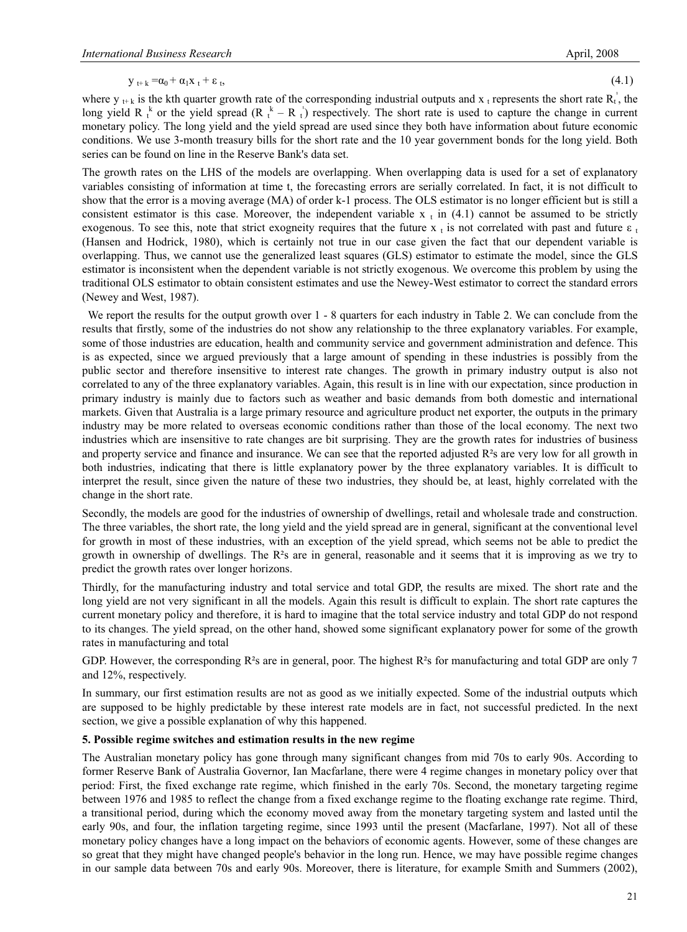$$
y_{t+k} = \alpha_0 + \alpha_1 x_t + \varepsilon_t, \tag{4.1}
$$

where  $y_{t+k}$  is the kth quarter growth rate of the corresponding industrial outputs and  $x_t$  represents the short rate  $R_t^{\dagger}$ , the long yield R  $_{t}^{k}$  or the yield spread (R  $_{t}^{k}$  – R  $_{t}^{i}$ ) respectively. The short rate is used to capture the change in current monetary policy. The long yield and the yield spread are used since they both have information about future economic conditions. We use 3-month treasury bills for the short rate and the 10 year government bonds for the long yield. Both series can be found on line in the Reserve Bank's data set.

The growth rates on the LHS of the models are overlapping. When overlapping data is used for a set of explanatory variables consisting of information at time t, the forecasting errors are serially correlated. In fact, it is not difficult to show that the error is a moving average (MA) of order k-1 process. The OLS estimator is no longer efficient but is still a consistent estimator is this case. Moreover, the independent variable  $x_t$  in (4.1) cannot be assumed to be strictly exogenous. To see this, note that strict exogneity requires that the future  $x_t$  is not correlated with past and future  $\varepsilon_t$ (Hansen and Hodrick, 1980), which is certainly not true in our case given the fact that our dependent variable is overlapping. Thus, we cannot use the generalized least squares (GLS) estimator to estimate the model, since the GLS estimator is inconsistent when the dependent variable is not strictly exogenous. We overcome this problem by using the traditional OLS estimator to obtain consistent estimates and use the Newey-West estimator to correct the standard errors (Newey and West, 1987).

We report the results for the output growth over 1 - 8 quarters for each industry in Table 2. We can conclude from the results that firstly, some of the industries do not show any relationship to the three explanatory variables. For example, some of those industries are education, health and community service and government administration and defence. This is as expected, since we argued previously that a large amount of spending in these industries is possibly from the public sector and therefore insensitive to interest rate changes. The growth in primary industry output is also not correlated to any of the three explanatory variables. Again, this result is in line with our expectation, since production in primary industry is mainly due to factors such as weather and basic demands from both domestic and international markets. Given that Australia is a large primary resource and agriculture product net exporter, the outputs in the primary industry may be more related to overseas economic conditions rather than those of the local economy. The next two industries which are insensitive to rate changes are bit surprising. They are the growth rates for industries of business and property service and finance and insurance. We can see that the reported adjusted R<sup>2</sup>s are very low for all growth in both industries, indicating that there is little explanatory power by the three explanatory variables. It is difficult to interpret the result, since given the nature of these two industries, they should be, at least, highly correlated with the change in the short rate.

Secondly, the models are good for the industries of ownership of dwellings, retail and wholesale trade and construction. The three variables, the short rate, the long yield and the yield spread are in general, significant at the conventional level for growth in most of these industries, with an exception of the yield spread, which seems not be able to predict the growth in ownership of dwellings. The  $R^2s$  are in general, reasonable and it seems that it is improving as we try to predict the growth rates over longer horizons.

Thirdly, for the manufacturing industry and total service and total GDP, the results are mixed. The short rate and the long yield are not very significant in all the models. Again this result is difficult to explain. The short rate captures the current monetary policy and therefore, it is hard to imagine that the total service industry and total GDP do not respond to its changes. The yield spread, on the other hand, showed some significant explanatory power for some of the growth rates in manufacturing and total

GDP. However, the corresponding  $R^2s$  are in general, poor. The highest  $R^2s$  for manufacturing and total GDP are only 7 and 12%, respectively.

In summary, our first estimation results are not as good as we initially expected. Some of the industrial outputs which are supposed to be highly predictable by these interest rate models are in fact, not successful predicted. In the next section, we give a possible explanation of why this happened.

## **5. Possible regime switches and estimation results in the new regime**

The Australian monetary policy has gone through many significant changes from mid 70s to early 90s. According to former Reserve Bank of Australia Governor, Ian Macfarlane, there were 4 regime changes in monetary policy over that period: First, the fixed exchange rate regime, which finished in the early 70s. Second, the monetary targeting regime between 1976 and 1985 to reflect the change from a fixed exchange regime to the floating exchange rate regime. Third, a transitional period, during which the economy moved away from the monetary targeting system and lasted until the early 90s, and four, the inflation targeting regime, since 1993 until the present (Macfarlane, 1997). Not all of these monetary policy changes have a long impact on the behaviors of economic agents. However, some of these changes are so great that they might have changed people's behavior in the long run. Hence, we may have possible regime changes in our sample data between 70s and early 90s. Moreover, there is literature, for example Smith and Summers (2002),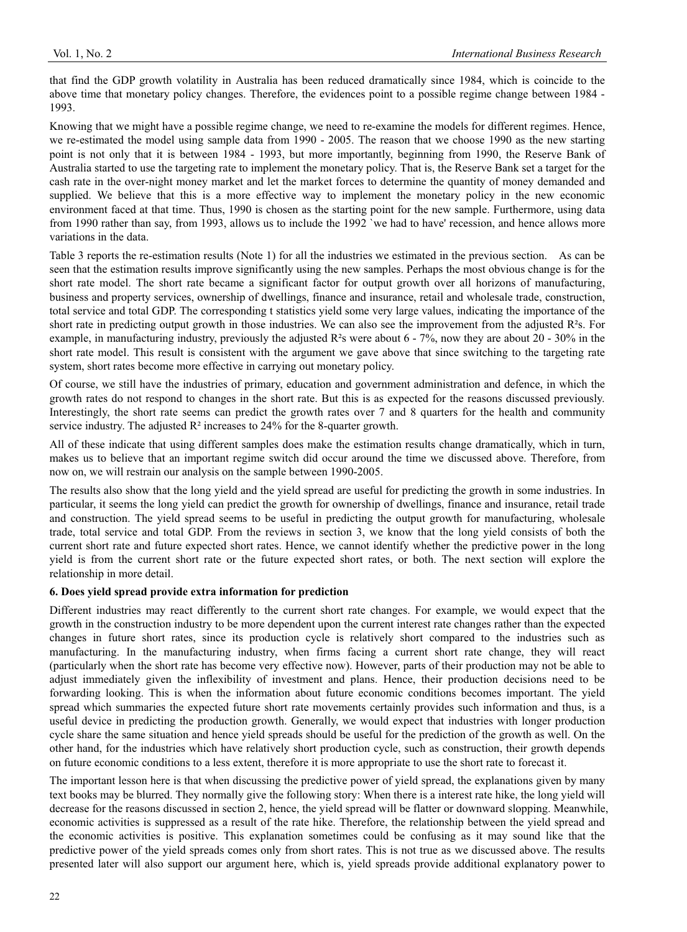that find the GDP growth volatility in Australia has been reduced dramatically since 1984, which is coincide to the above time that monetary policy changes. Therefore, the evidences point to a possible regime change between 1984 - 1993.

Knowing that we might have a possible regime change, we need to re-examine the models for different regimes. Hence, we re-estimated the model using sample data from 1990 - 2005. The reason that we choose 1990 as the new starting point is not only that it is between 1984 - 1993, but more importantly, beginning from 1990, the Reserve Bank of Australia started to use the targeting rate to implement the monetary policy. That is, the Reserve Bank set a target for the cash rate in the over-night money market and let the market forces to determine the quantity of money demanded and supplied. We believe that this is a more effective way to implement the monetary policy in the new economic environment faced at that time. Thus, 1990 is chosen as the starting point for the new sample. Furthermore, using data from 1990 rather than say, from 1993, allows us to include the 1992 `we had to have' recession, and hence allows more variations in the data.

Table 3 reports the re-estimation results (Note 1) for all the industries we estimated in the previous section. As can be seen that the estimation results improve significantly using the new samples. Perhaps the most obvious change is for the short rate model. The short rate became a significant factor for output growth over all horizons of manufacturing, business and property services, ownership of dwellings, finance and insurance, retail and wholesale trade, construction, total service and total GDP. The corresponding t statistics yield some very large values, indicating the importance of the short rate in predicting output growth in those industries. We can also see the improvement from the adjusted R<sup>2</sup>s. For example, in manufacturing industry, previously the adjusted  $R^2$ s were about 6 - 7%, now they are about 20 - 30% in the short rate model. This result is consistent with the argument we gave above that since switching to the targeting rate system, short rates become more effective in carrying out monetary policy.

Of course, we still have the industries of primary, education and government administration and defence, in which the growth rates do not respond to changes in the short rate. But this is as expected for the reasons discussed previously. Interestingly, the short rate seems can predict the growth rates over 7 and 8 quarters for the health and community service industry. The adjusted R² increases to 24% for the 8-quarter growth.

All of these indicate that using different samples does make the estimation results change dramatically, which in turn, makes us to believe that an important regime switch did occur around the time we discussed above. Therefore, from now on, we will restrain our analysis on the sample between 1990-2005.

The results also show that the long yield and the yield spread are useful for predicting the growth in some industries. In particular, it seems the long yield can predict the growth for ownership of dwellings, finance and insurance, retail trade and construction. The yield spread seems to be useful in predicting the output growth for manufacturing, wholesale trade, total service and total GDP. From the reviews in section 3, we know that the long yield consists of both the current short rate and future expected short rates. Hence, we cannot identify whether the predictive power in the long yield is from the current short rate or the future expected short rates, or both. The next section will explore the relationship in more detail.

# **6. Does yield spread provide extra information for prediction**

Different industries may react differently to the current short rate changes. For example, we would expect that the growth in the construction industry to be more dependent upon the current interest rate changes rather than the expected changes in future short rates, since its production cycle is relatively short compared to the industries such as manufacturing. In the manufacturing industry, when firms facing a current short rate change, they will react (particularly when the short rate has become very effective now). However, parts of their production may not be able to adjust immediately given the inflexibility of investment and plans. Hence, their production decisions need to be forwarding looking. This is when the information about future economic conditions becomes important. The yield spread which summaries the expected future short rate movements certainly provides such information and thus, is a useful device in predicting the production growth. Generally, we would expect that industries with longer production cycle share the same situation and hence yield spreads should be useful for the prediction of the growth as well. On the other hand, for the industries which have relatively short production cycle, such as construction, their growth depends on future economic conditions to a less extent, therefore it is more appropriate to use the short rate to forecast it.

The important lesson here is that when discussing the predictive power of yield spread, the explanations given by many text books may be blurred. They normally give the following story: When there is a interest rate hike, the long yield will decrease for the reasons discussed in section 2, hence, the yield spread will be flatter or downward slopping. Meanwhile, economic activities is suppressed as a result of the rate hike. Therefore, the relationship between the yield spread and the economic activities is positive. This explanation sometimes could be confusing as it may sound like that the predictive power of the yield spreads comes only from short rates. This is not true as we discussed above. The results presented later will also support our argument here, which is, yield spreads provide additional explanatory power to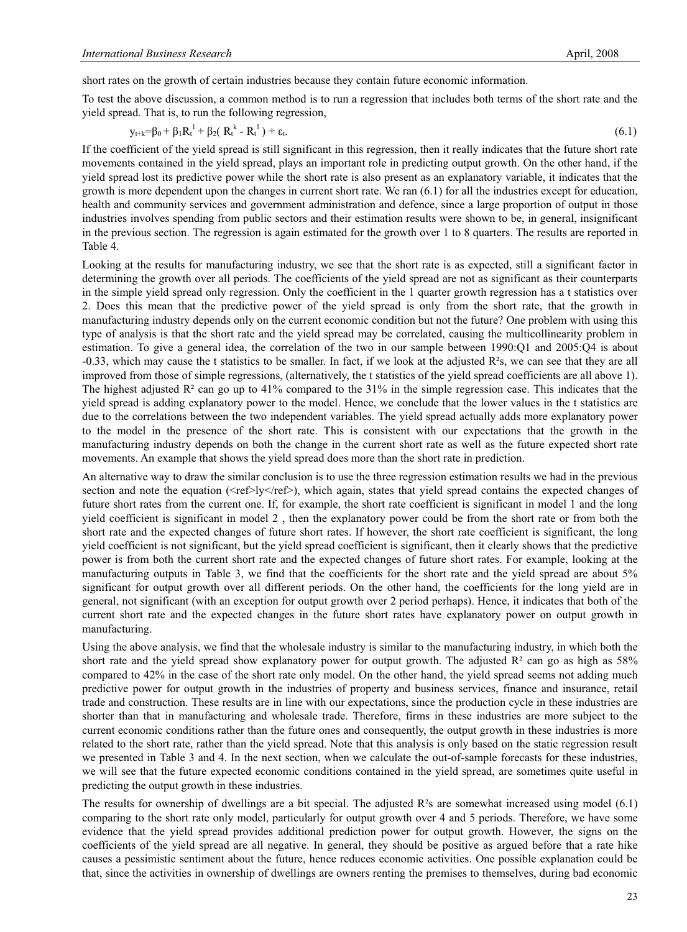short rates on the growth of certain industries because they contain future economic information.

To test the above discussion, a common method is to run a regression that includes both terms of the short rate and the yield spread. That is, to run the following regression,

$$
y_{t+k} = \beta_0 + \beta_1 R_t^1 + \beta_2 (R_t^k - R_t^1) + \varepsilon_t.
$$
\n(6.1)

If the coefficient of the yield spread is still significant in this regression, then it really indicates that the future short rate movements contained in the yield spread, plays an important role in predicting output growth. On the other hand, if the yield spread lost its predictive power while the short rate is also present as an explanatory variable, it indicates that the growth is more dependent upon the changes in current short rate. We ran (6.1) for all the industries except for education, health and community services and government administration and defence, since a large proportion of output in those industries involves spending from public sectors and their estimation results were shown to be, in general, insignificant in the previous section. The regression is again estimated for the growth over 1 to 8 quarters. The results are reported in Table 4.

Looking at the results for manufacturing industry, we see that the short rate is as expected, still a significant factor in determining the growth over all periods. The coefficients of the yield spread are not as significant as their counterparts in the simple yield spread only regression. Only the coefficient in the 1 quarter growth regression has a t statistics over 2. Does this mean that the predictive power of the yield spread is only from the short rate, that the growth in manufacturing industry depends only on the current economic condition but not the future? One problem with using this type of analysis is that the short rate and the yield spread may be correlated, causing the multicollinearity problem in estimation. To give a general idea, the correlation of the two in our sample between 1990:Q1 and 2005:Q4 is about -0.33, which may cause the t statistics to be smaller. In fact, if we look at the adjusted R²s, we can see that they are all improved from those of simple regressions, (alternatively, the t statistics of the yield spread coefficients are all above 1). The highest adjusted  $\mathbb{R}^2$  can go up to 41% compared to the 31% in the simple regression case. This indicates that the yield spread is adding explanatory power to the model. Hence, we conclude that the lower values in the t statistics are due to the correlations between the two independent variables. The yield spread actually adds more explanatory power to the model in the presence of the short rate. This is consistent with our expectations that the growth in the manufacturing industry depends on both the change in the current short rate as well as the future expected short rate movements. An example that shows the yield spread does more than the short rate in prediction.

An alternative way to draw the similar conclusion is to use the three regression estimation results we had in the previous section and note the equation ( $\langle \text{ref} \rangle$ ] $\langle \text{ref} \rangle$ ), which again, states that yield spread contains the expected changes of future short rates from the current one. If, for example, the short rate coefficient is significant in model 1 and the long yield coefficient is significant in model 2 , then the explanatory power could be from the short rate or from both the short rate and the expected changes of future short rates. If however, the short rate coefficient is significant, the long yield coefficient is not significant, but the yield spread coefficient is significant, then it clearly shows that the predictive power is from both the current short rate and the expected changes of future short rates. For example, looking at the manufacturing outputs in Table 3, we find that the coefficients for the short rate and the yield spread are about 5% significant for output growth over all different periods. On the other hand, the coefficients for the long yield are in general, not significant (with an exception for output growth over 2 period perhaps). Hence, it indicates that both of the current short rate and the expected changes in the future short rates have explanatory power on output growth in manufacturing.

Using the above analysis, we find that the wholesale industry is similar to the manufacturing industry, in which both the short rate and the yield spread show explanatory power for output growth. The adjusted  $R<sup>2</sup>$  can go as high as 58% compared to 42% in the case of the short rate only model. On the other hand, the yield spread seems not adding much predictive power for output growth in the industries of property and business services, finance and insurance, retail trade and construction. These results are in line with our expectations, since the production cycle in these industries are shorter than that in manufacturing and wholesale trade. Therefore, firms in these industries are more subject to the current economic conditions rather than the future ones and consequently, the output growth in these industries is more related to the short rate, rather than the yield spread. Note that this analysis is only based on the static regression result we presented in Table 3 and 4. In the next section, when we calculate the out-of-sample forecasts for these industries, we will see that the future expected economic conditions contained in the yield spread, are sometimes quite useful in predicting the output growth in these industries.

The results for ownership of dwellings are a bit special. The adjusted  $R^2$ s are somewhat increased using model (6.1) comparing to the short rate only model, particularly for output growth over 4 and 5 periods. Therefore, we have some evidence that the yield spread provides additional prediction power for output growth. However, the signs on the coefficients of the yield spread are all negative. In general, they should be positive as argued before that a rate hike causes a pessimistic sentiment about the future, hence reduces economic activities. One possible explanation could be that, since the activities in ownership of dwellings are owners renting the premises to themselves, during bad economic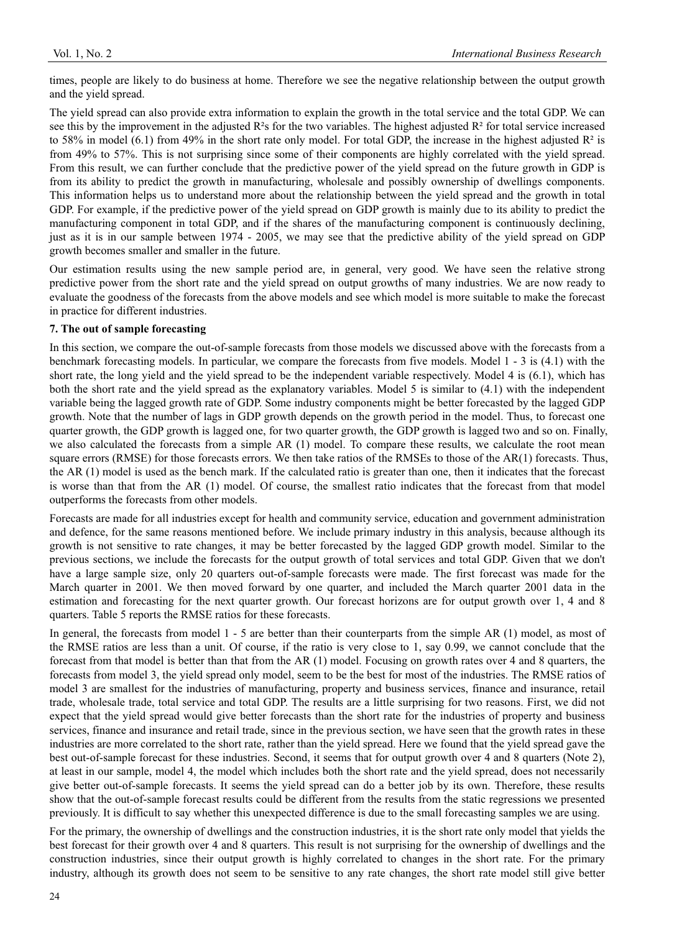times, people are likely to do business at home. Therefore we see the negative relationship between the output growth and the yield spread.

The yield spread can also provide extra information to explain the growth in the total service and the total GDP. We can see this by the improvement in the adjusted  $R^2$ s for the two variables. The highest adjusted  $R^2$  for total service increased to 58% in model (6.1) from 49% in the short rate only model. For total GDP, the increase in the highest adjusted R² is from 49% to 57%. This is not surprising since some of their components are highly correlated with the yield spread. From this result, we can further conclude that the predictive power of the yield spread on the future growth in GDP is from its ability to predict the growth in manufacturing, wholesale and possibly ownership of dwellings components. This information helps us to understand more about the relationship between the yield spread and the growth in total GDP. For example, if the predictive power of the yield spread on GDP growth is mainly due to its ability to predict the manufacturing component in total GDP, and if the shares of the manufacturing component is continuously declining, just as it is in our sample between 1974 - 2005, we may see that the predictive ability of the yield spread on GDP growth becomes smaller and smaller in the future.

Our estimation results using the new sample period are, in general, very good. We have seen the relative strong predictive power from the short rate and the yield spread on output growths of many industries. We are now ready to evaluate the goodness of the forecasts from the above models and see which model is more suitable to make the forecast in practice for different industries.

## **7. The out of sample forecasting**

In this section, we compare the out-of-sample forecasts from those models we discussed above with the forecasts from a benchmark forecasting models. In particular, we compare the forecasts from five models. Model 1 - 3 is (4.1) with the short rate, the long yield and the yield spread to be the independent variable respectively. Model 4 is (6.1), which has both the short rate and the yield spread as the explanatory variables. Model 5 is similar to (4.1) with the independent variable being the lagged growth rate of GDP. Some industry components might be better forecasted by the lagged GDP growth. Note that the number of lags in GDP growth depends on the growth period in the model. Thus, to forecast one quarter growth, the GDP growth is lagged one, for two quarter growth, the GDP growth is lagged two and so on. Finally, we also calculated the forecasts from a simple AR (1) model. To compare these results, we calculate the root mean square errors (RMSE) for those forecasts errors. We then take ratios of the RMSEs to those of the AR(1) forecasts. Thus, the AR (1) model is used as the bench mark. If the calculated ratio is greater than one, then it indicates that the forecast is worse than that from the AR (1) model. Of course, the smallest ratio indicates that the forecast from that model outperforms the forecasts from other models.

Forecasts are made for all industries except for health and community service, education and government administration and defence, for the same reasons mentioned before. We include primary industry in this analysis, because although its growth is not sensitive to rate changes, it may be better forecasted by the lagged GDP growth model. Similar to the previous sections, we include the forecasts for the output growth of total services and total GDP. Given that we don't have a large sample size, only 20 quarters out-of-sample forecasts were made. The first forecast was made for the March quarter in 2001. We then moved forward by one quarter, and included the March quarter 2001 data in the estimation and forecasting for the next quarter growth. Our forecast horizons are for output growth over 1, 4 and 8 quarters. Table 5 reports the RMSE ratios for these forecasts.

In general, the forecasts from model 1 - 5 are better than their counterparts from the simple AR (1) model, as most of the RMSE ratios are less than a unit. Of course, if the ratio is very close to 1, say 0.99, we cannot conclude that the forecast from that model is better than that from the AR (1) model. Focusing on growth rates over 4 and 8 quarters, the forecasts from model 3, the yield spread only model, seem to be the best for most of the industries. The RMSE ratios of model 3 are smallest for the industries of manufacturing, property and business services, finance and insurance, retail trade, wholesale trade, total service and total GDP. The results are a little surprising for two reasons. First, we did not expect that the yield spread would give better forecasts than the short rate for the industries of property and business services, finance and insurance and retail trade, since in the previous section, we have seen that the growth rates in these industries are more correlated to the short rate, rather than the yield spread. Here we found that the yield spread gave the best out-of-sample forecast for these industries. Second, it seems that for output growth over 4 and 8 quarters (Note 2), at least in our sample, model 4, the model which includes both the short rate and the yield spread, does not necessarily give better out-of-sample forecasts. It seems the yield spread can do a better job by its own. Therefore, these results show that the out-of-sample forecast results could be different from the results from the static regressions we presented previously. It is difficult to say whether this unexpected difference is due to the small forecasting samples we are using.

For the primary, the ownership of dwellings and the construction industries, it is the short rate only model that yields the best forecast for their growth over 4 and 8 quarters. This result is not surprising for the ownership of dwellings and the construction industries, since their output growth is highly correlated to changes in the short rate. For the primary industry, although its growth does not seem to be sensitive to any rate changes, the short rate model still give better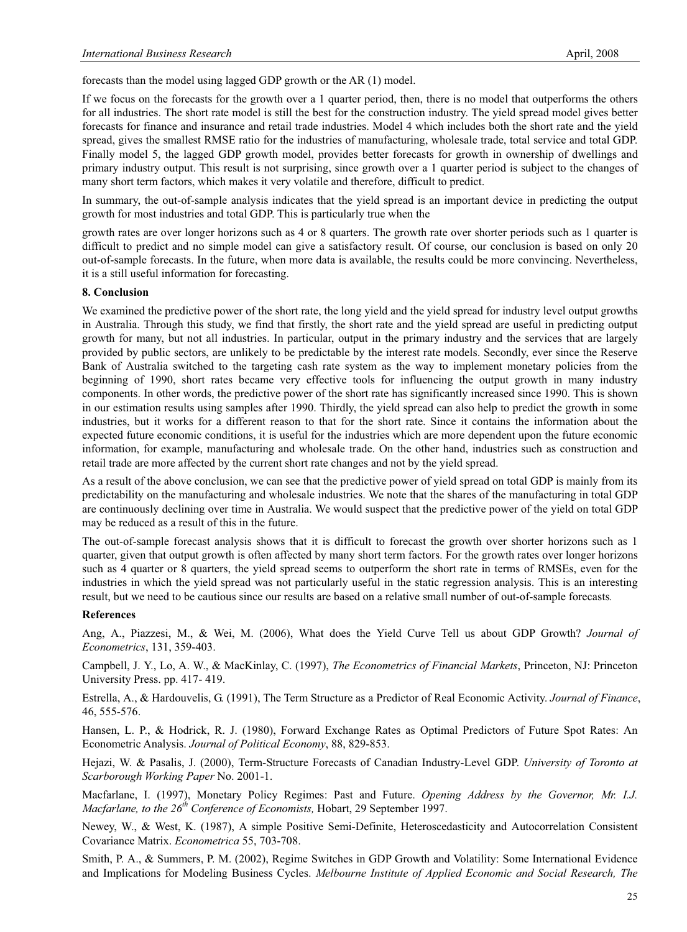forecasts than the model using lagged GDP growth or the AR (1) model.

If we focus on the forecasts for the growth over a 1 quarter period, then, there is no model that outperforms the others for all industries. The short rate model is still the best for the construction industry. The yield spread model gives better forecasts for finance and insurance and retail trade industries. Model 4 which includes both the short rate and the yield spread, gives the smallest RMSE ratio for the industries of manufacturing, wholesale trade, total service and total GDP. Finally model 5, the lagged GDP growth model, provides better forecasts for growth in ownership of dwellings and primary industry output. This result is not surprising, since growth over a 1 quarter period is subject to the changes of many short term factors, which makes it very volatile and therefore, difficult to predict.

In summary, the out-of-sample analysis indicates that the yield spread is an important device in predicting the output growth for most industries and total GDP. This is particularly true when the

growth rates are over longer horizons such as 4 or 8 quarters. The growth rate over shorter periods such as 1 quarter is difficult to predict and no simple model can give a satisfactory result. Of course, our conclusion is based on only 20 out-of-sample forecasts. In the future, when more data is available, the results could be more convincing. Nevertheless, it is a still useful information for forecasting.

#### **8. Conclusion**

We examined the predictive power of the short rate, the long yield and the yield spread for industry level output growths in Australia. Through this study, we find that firstly, the short rate and the yield spread are useful in predicting output growth for many, but not all industries. In particular, output in the primary industry and the services that are largely provided by public sectors, are unlikely to be predictable by the interest rate models. Secondly, ever since the Reserve Bank of Australia switched to the targeting cash rate system as the way to implement monetary policies from the beginning of 1990, short rates became very effective tools for influencing the output growth in many industry components. In other words, the predictive power of the short rate has significantly increased since 1990. This is shown in our estimation results using samples after 1990. Thirdly, the yield spread can also help to predict the growth in some industries, but it works for a different reason to that for the short rate. Since it contains the information about the expected future economic conditions, it is useful for the industries which are more dependent upon the future economic information, for example, manufacturing and wholesale trade. On the other hand, industries such as construction and retail trade are more affected by the current short rate changes and not by the yield spread.

As a result of the above conclusion, we can see that the predictive power of yield spread on total GDP is mainly from its predictability on the manufacturing and wholesale industries. We note that the shares of the manufacturing in total GDP are continuously declining over time in Australia. We would suspect that the predictive power of the yield on total GDP may be reduced as a result of this in the future.

The out-of-sample forecast analysis shows that it is difficult to forecast the growth over shorter horizons such as 1 quarter, given that output growth is often affected by many short term factors. For the growth rates over longer horizons such as 4 quarter or 8 quarters, the yield spread seems to outperform the short rate in terms of RMSEs, even for the industries in which the yield spread was not particularly useful in the static regression analysis. This is an interesting result, but we need to be cautious since our results are based on a relative small number of out-of-sample forecasts*.*

#### **References**

Ang, A., Piazzesi, M., & Wei, M. (2006), What does the Yield Curve Tell us about GDP Growth? *Journal of Econometrics*, 131, 359-403.

Campbell, J. Y., Lo, A. W., & MacKinlay, C. (1997), *The Econometrics of Financial Markets*, Princeton, NJ: Princeton University Press. pp. 417- 419.

Estrella, A., & Hardouvelis, G. (1991), The Term Structure as a Predictor of Real Economic Activity. *Journal of Finance*, 46, 555-576.

Hansen, L. P., & Hodrick, R. J. (1980), Forward Exchange Rates as Optimal Predictors of Future Spot Rates: An Econometric Analysis. *Journal of Political Economy*, 88, 829-853.

Hejazi, W. & Pasalis, J. (2000), Term-Structure Forecasts of Canadian Industry-Level GDP. *University of Toronto at Scarborough Working Paper* No. 2001-1.

Macfarlane, I. (1997), Monetary Policy Regimes: Past and Future. *Opening Address by the Governor, Mr. I.J. Macfarlane, to the 26<sup>th</sup> Conference of Economists, Hobart, 29 September 1997.* 

Newey, W., & West, K. (1987), A simple Positive Semi-Definite, Heteroscedasticity and Autocorrelation Consistent Covariance Matrix. *Econometrica* 55, 703-708.

Smith, P. A., & Summers, P. M. (2002), Regime Switches in GDP Growth and Volatility: Some International Evidence and Implications for Modeling Business Cycles. *Melbourne Institute of Applied Economic and Social Research, The*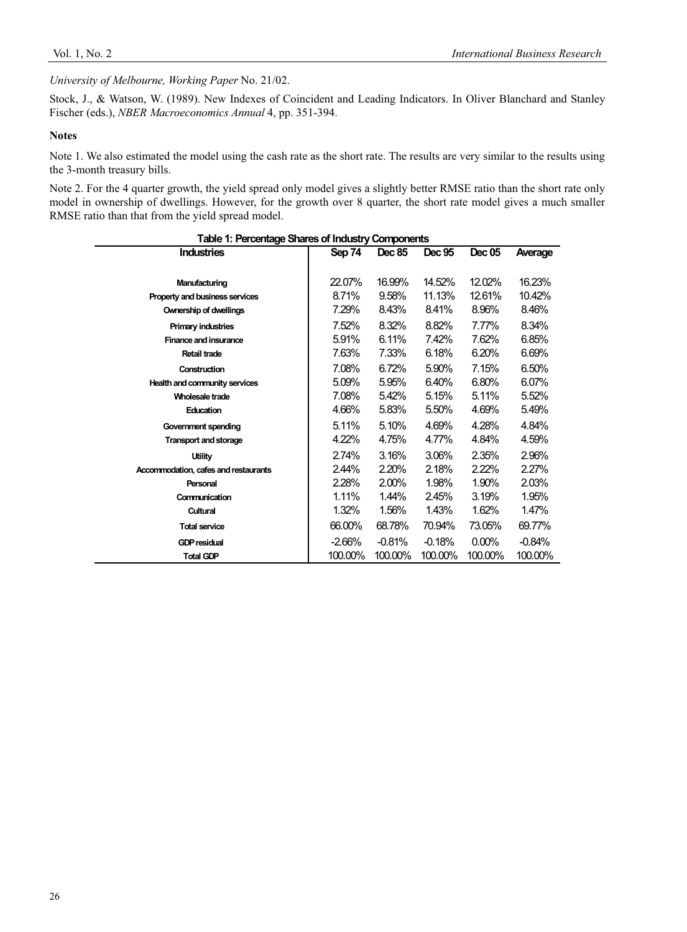*University of Melbourne, Working Paper* No. 21/02.

Stock, J., & Watson, W. (1989). New Indexes of Coincident and Leading Indicators. In Oliver Blanchard and Stanley Fischer (eds.), *NBER Macroeconomics Annual* 4, pp. 351-394.

## **Notes**

Note 1. We also estimated the model using the cash rate as the short rate. The results are very similar to the results using the 3-month treasury bills.

Note 2. For the 4 quarter growth, the yield spread only model gives a slightly better RMSE ratio than the short rate only model in ownership of dwellings. However, for the growth over 8 quarter, the short rate model gives a much smaller RMSE ratio than that from the yield spread model.

| Table 1: Percentage Shares of Industry Components |          |           |          |          |          |  |  |  |  |  |
|---------------------------------------------------|----------|-----------|----------|----------|----------|--|--|--|--|--|
| <b>Industries</b>                                 | Sep 74   | Dec 85    | Dec 95   | Dec 05   | Average  |  |  |  |  |  |
|                                                   |          |           |          |          |          |  |  |  |  |  |
| Manufacturing                                     | 22.07%   | 16.99%    | 14.52%   | 12.02%   | 16.23%   |  |  |  |  |  |
| Property and business services                    | 8.71%    | 9.58%     | 11.13%   | 12.61%   | 10.42%   |  |  |  |  |  |
| Ownership of dwellings                            | 7.29%    | 8.43%     | 8.41%    | 8.96%    | 8.46%    |  |  |  |  |  |
| <b>Primary industries</b>                         | 7.52%    | 8.32%     | 8.82%    | $7.77\%$ | 8.34%    |  |  |  |  |  |
| Finance and insurance                             | 5.91%    | 6.11%     | 7.42%    | 7.62%    | 6.85%    |  |  |  |  |  |
| Retail trade                                      | 7.63%    | 7.33%     | 6.18%    | 6.20%    | 6.69%    |  |  |  |  |  |
| Construction                                      | 7.08%    | 6.72%     | 5.90%    | 7.15%    | 6.50%    |  |  |  |  |  |
| Health and community services                     | 5.09%    | 5.95%     | 6.40%    | 6.80%    | 6.07%    |  |  |  |  |  |
| Wholesale trade                                   | 7.08%    | 5.42%     | 5.15%    | 5.11%    | $5.52\%$ |  |  |  |  |  |
| Education                                         | 4.66%    | 5.83%     | 5.50%    | 4.69%    | 5.49%    |  |  |  |  |  |
| Government spending                               | 5.11%    | 5.10%     | 4.69%    | 4.28%    | 4.84%    |  |  |  |  |  |
| <b>Transport and storage</b>                      | 4.22%    | 4.75%     | 4.77%    | 4.84%    | 4.59%    |  |  |  |  |  |
| <b>Utility</b>                                    | 2.74%    | 3.16%     | 3.06%    | 2.35%    | 2.96%    |  |  |  |  |  |
| Accommodation, cafes and restaurants              | 2.44%    | 2.20%     | 2.18%    | 2.22%    | 2.27%    |  |  |  |  |  |
| Personal                                          | 2.28%    | 2.00%     | 1.98%    | $1.90\%$ | 2.03%    |  |  |  |  |  |
| Communication                                     | 1.11%    | $1.44\%$  | 2.45%    | 3.19%    | 1.95%    |  |  |  |  |  |
| Cultural                                          | 1.32%    | 1.56%     | 1.43%    | 1.62%    | 1.47%    |  |  |  |  |  |
| <b>Total service</b>                              | 66.00%   | 68.78%    | 70.94%   | 73.05%   | 69.77%   |  |  |  |  |  |
| <b>GDP</b> residual                               | $-2.66%$ | $-0.81\%$ | $-0.18%$ | $0.00\%$ | $-0.84%$ |  |  |  |  |  |
| <b>Total GDP</b>                                  | 100.00%  | 100.00%   | 100.00%  | 100.00%  | 100.00%  |  |  |  |  |  |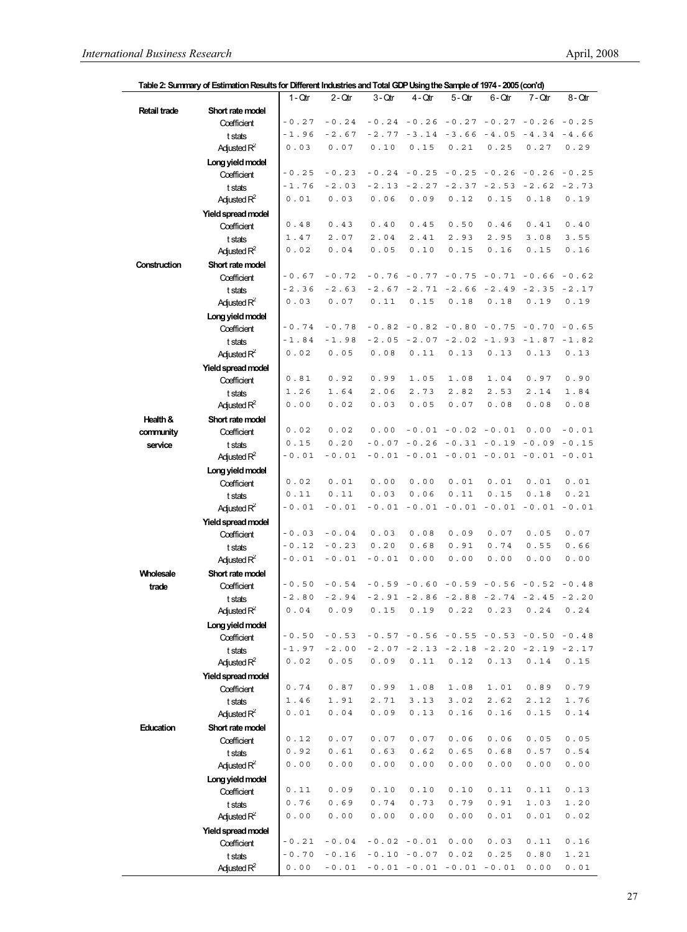|                  | Table 2: Surfridity of Estimation Results for Different industries and Total GDF Osing the Sample of 1974 - 2005 (COTO) |           |         |           |                       |                                     |                |                                            |                |
|------------------|-------------------------------------------------------------------------------------------------------------------------|-----------|---------|-----------|-----------------------|-------------------------------------|----------------|--------------------------------------------|----------------|
|                  |                                                                                                                         | $1 - Qtr$ | 2 - Qtr | $3 - Qtr$ | $4 - Q$ tr            | $5 - Qtr$                           | $6 - Q$ tr     | 7 - Qtr                                    | 8 - Qtr        |
| Retail trade     | Short rate model                                                                                                        |           |         |           |                       |                                     |                |                                            |                |
|                  | Coefficient                                                                                                             | $-0.27$   | $-0.24$ |           |                       | $-0.24 - 0.26 - 0.27 - 0.27 - 0.26$ |                |                                            | $-0.25$        |
|                  | t stats                                                                                                                 | $-1.96$   | $-2.67$ |           | $-2.77 - 3.14 - 3.66$ |                                     | $-4.05$        | $-4.34$                                    | $-4.66$        |
|                  | Adjusted $R^2$                                                                                                          | 0.03      | 0.07    | 0.10      | 0.15                  | 0.21                                | 0.25           | 0.27                                       | 0.29           |
|                  | Long yield model                                                                                                        |           |         |           |                       |                                     |                |                                            |                |
|                  | Coefficient                                                                                                             | $-0.25$   | $-0.23$ |           | $-0.24 - 0.25$        | $-0.25$                             | $-0.26$        | $-0.26$                                    | $-0.25$        |
|                  | t stats                                                                                                                 | $-1.76$   | $-2.03$ | $-2.13$   |                       | $-2.27 - 2.37$                      | $-2.53$        | $-2.62$                                    | $-2.73$        |
|                  | Adjusted $R^2$                                                                                                          | 0.01      | 0.03    | 0.06      | 0.09                  | 0.12                                | 0.15           | 0.18                                       | 0.19           |
|                  | Yield spread model                                                                                                      |           |         |           |                       |                                     |                |                                            |                |
|                  | Coefficient                                                                                                             | 0.48      | 0.43    | 0.40      | 0.45                  | 0.50                                | 0.46           | 0.41                                       | 0.40           |
|                  | t stats                                                                                                                 | 1.47      | 2.07    | 2.04      | 2.41                  | 2.93                                | 2.95           | 3.08                                       | 3.55           |
|                  | Adjusted $R^2$                                                                                                          | 0.02      | 0.04    | 0.05      | 0.10                  | 0.15                                | 0.16           | 0.15                                       | 0.16           |
|                  |                                                                                                                         |           |         |           |                       |                                     |                |                                            |                |
| Construction     | Short rate model                                                                                                        | $-0.67$   |         |           |                       |                                     |                |                                            |                |
|                  | Coefficient                                                                                                             |           | $-0.72$ |           | $-0.76 - 0.77 - 0.75$ |                                     | $-0.71 - 0.66$ |                                            | $-0.62$        |
|                  | t stats                                                                                                                 | $-2.36$   | $-2.63$ |           | $-2.67 - 2.71 - 2.66$ |                                     | $-2.49$        | $-2.35$                                    | $-2.17$        |
|                  | Adjusted $R^2$                                                                                                          | 0.03      | 0.07    | 0.11      | 0.15                  | 0.18                                | 0.18           | 0.19                                       | 0.19           |
|                  | Long yield model                                                                                                        |           |         |           |                       |                                     |                |                                            |                |
|                  | Coefficient                                                                                                             | $-0.74$   | $-0.78$ |           | $-0.82 - 0.82 - 0.80$ |                                     | $-0.75 - 0.70$ |                                            | $-0.65$        |
|                  | t stats                                                                                                                 | $-1.84$   | $-1.98$ |           |                       |                                     |                | $-2.05 -2.07 -2.02 -1.93 -1.87 -1.82$      |                |
|                  | Adjusted $R^2$                                                                                                          | 0.02      | 0.05    | 0.08      | 0.11                  | 0.13                                | 0.13           | 0.13                                       | 0.13           |
|                  | Yield spread model                                                                                                      |           |         |           |                       |                                     |                |                                            |                |
|                  | Coefficient                                                                                                             | 0.81      | 0.92    | 0.99      | 1.05                  | 1.08                                | 1.04           | 0.97                                       | 0.90           |
|                  | t stats                                                                                                                 | 1.26      | 1.64    | 2.06      | 2.73                  | 2.82                                | 2.53           | $2.14$                                     | 1.84           |
|                  | Adjusted $R^2$                                                                                                          | 0.00      | 0.02    | 0.03      | 0.05                  | 0.07                                | 0.08           | 0.08                                       | 0.08           |
| Health &         | Short rate model                                                                                                        |           |         |           |                       |                                     |                |                                            |                |
| community        | Coefficient                                                                                                             | 0.02      | 0.02    | 0.00      |                       | $-0.01 - 0.02 - 0.01$               |                | 0.00                                       | $-0.01$        |
| service          | t stats                                                                                                                 | 0.15      | 0.20    |           |                       | $-0.07 - 0.26 - 0.31 - 0.19 - 0.09$ |                |                                            | $-0.15$        |
|                  | Adjusted $R^2$                                                                                                          | $-0.01$   | $-0.01$ |           |                       |                                     |                | $-0.01 - 0.01 - 0.01 - 0.01 - 0.01 - 0.01$ |                |
|                  | Long yield model                                                                                                        |           |         |           |                       |                                     |                |                                            |                |
|                  |                                                                                                                         | 0.02      | 0.01    | 0.00      | 0.00                  | 0.01                                | 0.01           | 0.01                                       | 0.01           |
|                  | Coefficient                                                                                                             | 0.11      | 0.11    | 0.03      | 0.06                  | 0.11                                | 0.15           | 0.18                                       | 0.21           |
|                  | t stats                                                                                                                 | $-0.01$   | $-0.01$ | $-0.01$   |                       | $-0.01 - 0.01 - 0.01 - 0.01$        |                |                                            | $-0.01$        |
|                  | Adjusted $R^2$                                                                                                          |           |         |           |                       |                                     |                |                                            |                |
|                  | Yield spread model                                                                                                      |           |         |           |                       |                                     |                |                                            |                |
|                  | Coefficient                                                                                                             | $-0.03$   | $-0.04$ | 0.03      | 0.08                  | 0.09                                | 0.07           | 0.05                                       | 0.07           |
|                  | t stats                                                                                                                 | $-0.12$   | $-0.23$ | 0.20      | 0.68                  | 0.91                                | 0.74           | 0.55                                       | 0.66           |
|                  | Adjusted $R^2$                                                                                                          | $-0.01$   | $-0.01$ | $-0.01$   | 0.00                  | 0.00                                | 0.00           | 0.00                                       | 0.00           |
| <b>Wholesale</b> | Short rate model                                                                                                        |           |         |           |                       |                                     |                |                                            |                |
| trade            | Coefficient                                                                                                             | $-0.50$   | $-0.54$ |           | $-0.59 - 0.60$        | $-0.59$                             | $-0.56$        | $-0.52$                                    | $-0.48$        |
|                  | t stats                                                                                                                 | $-2.80$   | $-2.94$ |           |                       | $-2.91 - 2.86 - 2.88 - 2.74 - 2.45$ |                |                                            | $-2.20$        |
|                  | Adjusted $R^2$                                                                                                          | 0.04      | 0.09    | 0.15      | 0.19                  | 0.22                                | 0.23           | 0.24                                       | $0.24$         |
|                  | Long yield model                                                                                                        |           |         |           |                       |                                     |                |                                            |                |
|                  | Coefficient                                                                                                             | $-0.50$   | $-0.53$ |           |                       |                                     |                | $-0.57 - 0.56 - 0.55 - 0.53 - 0.50$        | $-0.48$        |
|                  | t stats                                                                                                                 | $-1.97$   | $-2.00$ |           |                       | $-2.07 -2.13 -2.18$                 | $-2.20$        | $-2.19$                                    | $-2.17$        |
|                  | Adjusted $R^2$                                                                                                          | 0.02      | 0.05    | 0.09      | 0.11                  | 0.12                                | 0.13           | 0.14                                       | 0.15           |
|                  | Yield spread model                                                                                                      |           |         |           |                       |                                     |                |                                            |                |
|                  | Coefficient                                                                                                             | 0.74      | 0.87    | 0.99      | 1.08                  | 1.08                                | 1.01           | 0.89                                       | 0.79           |
|                  | t stats                                                                                                                 | 1.46      | 1.91    | 2.71      | 3.13                  | 3.02                                | 2.62           | 2.12                                       | 1.76           |
|                  | Adjusted $R^2$                                                                                                          | 0.01      | 0.04    | 0.09      | 0.13                  | 0.16                                | 0.16           | 0.15                                       | 0.14           |
| <b>Education</b> | Short rate model                                                                                                        |           |         |           |                       |                                     |                |                                            |                |
|                  | Coefficient                                                                                                             | 0.12      | 0.07    | 0.07      | 0.07                  | 0.06                                | 0.06           | 0.05                                       | 0.05           |
|                  | t stats                                                                                                                 | 0.92      | 0.61    | 0.63      | 0.62                  | 0.65                                | 0.68           | 0.57                                       | 0.54           |
|                  |                                                                                                                         | 0.00      | 0.00    | 0.00      | 0.00                  | 0.00                                | 0.00           | 0.00                                       | 0.00           |
|                  | Adjusted $R^2$                                                                                                          |           |         |           |                       |                                     |                |                                            |                |
|                  | Long yield model                                                                                                        |           |         |           |                       |                                     |                |                                            |                |
|                  | Coefficient                                                                                                             | 0.11      | 0.09    | 0.10      | 0.10                  | 0.10                                | 0.11           | 0.11                                       | 0.13           |
|                  | t stats                                                                                                                 | 0.76      | 0.69    | 0.74      | 0.73                  | 0.79                                | 0.91           | 1.03                                       | 1.20           |
|                  | Adjusted $R^2$                                                                                                          | 0.00      | 0.00    | 0.00      | 0.00                  | 0.00                                | 0.01           | 0.01                                       | 0.02           |
|                  | Yield spread model                                                                                                      |           |         |           |                       |                                     |                |                                            |                |
|                  | Coefficient                                                                                                             | $-0.21$   | $-0.04$ |           | $-0.02 - 0.01$        | 0.00                                | 0.03           | 0.11                                       | 0.16           |
|                  | t stats                                                                                                                 | $-0.70$   | $-0.16$ |           | $-0.10 - 0.07$        | 0.02                                | 0.25           | 0.80                                       | $1\,$ . $2\,1$ |
|                  | Adjusted $R^2$                                                                                                          | 0.00      | $-0.01$ |           |                       | $-0.01 - 0.01 - 0.01 - 0.01$        |                | 0.00                                       | 0.01           |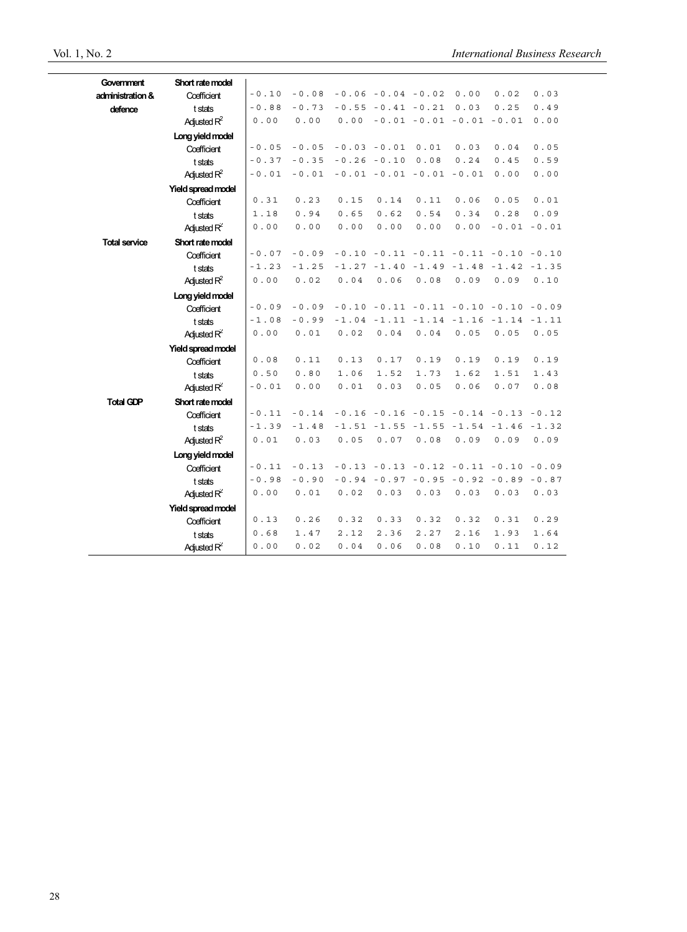| Government           | Short rate model          |         |         |         |                              |                       |                                            |                |                |
|----------------------|---------------------------|---------|---------|---------|------------------------------|-----------------------|--------------------------------------------|----------------|----------------|
| administration &     | Coefficient               | $-0.10$ | $-0.08$ |         | $-0.06 - 0.04 - 0.02$        |                       | 0.00                                       | 0.02           | 0.03           |
| defence              | t stats                   | $-0.88$ | $-0.73$ |         | $-0.55 - 0.41 - 0.21$        |                       | 0.03                                       | 0.25           | 0.49           |
|                      | Adjusted $R^2$            | 0.00    | 0.00    | 0.00    |                              | $-0.01 - 0.01 - 0.01$ |                                            | $-0.01$        | 0.00           |
|                      | Long yield model          |         |         |         |                              |                       |                                            |                |                |
|                      | Coefficient               | $-0.05$ | $-0.05$ |         | $-0.03 - 0.01$               | 0.01                  | 0.03                                       | 0.04           | 0.05           |
|                      | t stats                   | $-0.37$ | $-0.35$ |         | $-0.26 - 0.10$               | 0.08                  | 0.24                                       | 0.45           | 0.59           |
|                      | Adjusted $R^2$            | $-0.01$ | $-0.01$ |         | $-0.01 - 0.01 - 0.01 - 0.01$ |                       |                                            | 0.00           | 0.00           |
|                      | <b>Yield spread model</b> |         |         |         |                              |                       |                                            |                |                |
|                      | Coefficient               | 0.31    | 0.23    | 0.15    | 0.14                         | 0.11                  | 0.06                                       | 0.05           | 0.01           |
|                      | t stats                   | 1.18    | 0.94    | 0.65    | 0.62                         | 0.54                  | 0.34                                       | 0.28           | 0.09           |
|                      | Adjusted $R^2$            | 0.00    | 0.00    | 0.00    | 0.00                         | 0.00                  | 0.00                                       |                | $-0.01 - 0.01$ |
| <b>Total service</b> | Short rate model          |         |         |         |                              |                       |                                            |                |                |
|                      | Coefficient               | $-0.07$ | $-0.09$ |         | $-0.10 - 0.11 - 0.11 - 0.11$ |                       |                                            | $-0.10 - 0.10$ |                |
|                      | t stats                   | $-1.23$ | $-1.25$ |         | $-1.27 - 1.40$               | $-1.49$               | $-1.48$                                    | $-1.42$        | $-1.35$        |
|                      | Adjusted $R^2$            | 0.00    | 0.02    | 0.04    | 0.06                         | 0.08                  | 0.09                                       | 0.09           | 0.10           |
|                      | Long yield model          |         |         |         |                              |                       |                                            |                |                |
|                      | Coefficient               | $-0.09$ | $-0.09$ |         |                              |                       | $-0.10 - 0.11 - 0.11 - 0.10 - 0.10 - 0.09$ |                |                |
|                      | t stats                   | $-1.08$ | $-0.99$ |         |                              |                       | $-1.04 -1.11 -1.14 -1.16 -1.14 -1.11$      |                |                |
|                      | Adjusted $R^2$            | 0.00    | 0.01    | 0.02    | 0.04                         | 0.04                  | 0.05                                       | 0.05           | 0.05           |
|                      | Yield spread model        |         |         |         |                              |                       |                                            |                |                |
|                      | Coefficient               | 0.08    | 0.11    | 0.13    | 0.17                         | 0.19                  | 0.19                                       | 0.19           | 0.19           |
|                      | t stats                   | 0.50    | 0.80    | 1.06    | 1.52                         | 1.73                  | 1.62                                       | 1.51           | 1.43           |
|                      | Adjusted $R^2$            | $-0.01$ | 0.00    | 0.01    | 0.03                         | 0.05                  | 0.06                                       | 0.07           | 0.08           |
| <b>Total GDP</b>     | Short rate model          |         |         |         |                              |                       |                                            |                |                |
|                      | Coefficient               | $-0.11$ | $-0.14$ | $-0.16$ | $-0.16 - 0.15$               |                       | $-0.14$                                    | $-0.13$        | $-0.12$        |
|                      | t stats                   | $-1.39$ | $-1.48$ |         | $-1.51 - 1.55$               | $-1.55$               | $-1.54$                                    | $-1.46$        | $-1.32$        |
|                      | Adjusted $R^2$            | 0.01    | 0.03    | 0.05    | 0.07                         | 0.08                  | 0.09                                       | 0.09           | 0.09           |
|                      | Long yield model          |         |         |         |                              |                       |                                            |                |                |
|                      | Coefficient               | $-0.11$ | $-0.13$ |         |                              |                       | $-0.13 - 0.13 - 0.12 - 0.11 - 0.10$        |                | $-0.09$        |
|                      | t stats                   | $-0.98$ | $-0.90$ |         | $-0.94 - 0.97 - 0.95$        |                       | $-0.92$                                    | $-0.89 - 0.87$ |                |
|                      | Adjusted $R^2$            | 0.00    | 0.01    | 0.02    | 0.03                         | 0.03                  | 0.03                                       | 0.03           | 0.03           |
|                      | Yield spread model        |         |         |         |                              |                       |                                            |                |                |
|                      | Coefficient               | 0.13    | 0.26    | 0.32    | 0.33                         | 0.32                  | 0.32                                       | 0.31           | 0.29           |
|                      | t stats                   | 0.68    | 1.47    | 2.12    | 2.36                         | 2.27                  | 2.16                                       | 1.93           | 1.64           |
|                      | Adjusted $R^2$            | 0.00    | 0.02    | 0.04    | 0.06                         | 0.08                  | 0.10                                       | 0.11           | 0.12           |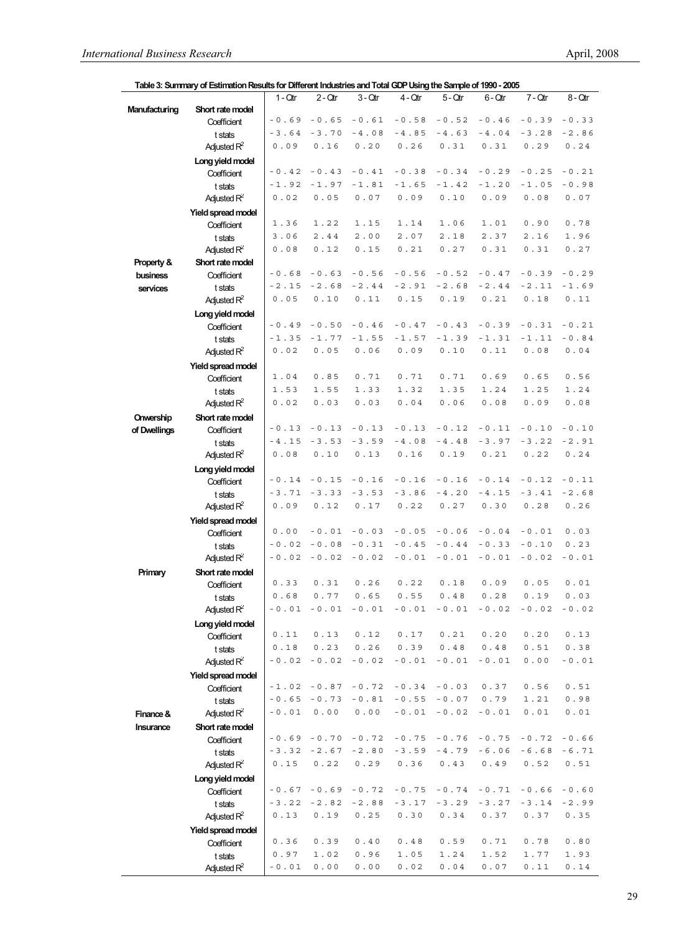**Table 3: Summary of Estimation Results for Different Industries and Total GDP Using the Sample of 1990 - 2005**

|               | Table 3: Summary of Estimation Results for Different Industries and Total GDP Using the Sample of 1990 - 2005 |           |                |           |         |                |                |           |           |
|---------------|---------------------------------------------------------------------------------------------------------------|-----------|----------------|-----------|---------|----------------|----------------|-----------|-----------|
|               |                                                                                                               | $1 - Qtr$ | $2 - Qtr$      | $3 - Qtr$ | 4 - Qtr | $5 - Qtr$      | 6 - Qtr        | $7 - Qtr$ | $8 - Qtr$ |
| Manufacturing | Short rate model                                                                                              |           |                |           |         |                |                |           |           |
|               | Coefficient                                                                                                   | $-0.69$   | $-0.65$        | $-0.61$   | $-0.58$ | $-0.52$        | $-0.46$        | $-0.39$   | $-0.33$   |
|               |                                                                                                               | $-3.64$   | $-3.70$        | $-4.08$   | $-4.85$ | $-4.63$        | $-4.04$        | $-3.28$   | $-2.86$   |
|               | t stats                                                                                                       |           |                |           |         |                |                |           |           |
|               | Adjusted $R^2$                                                                                                | 0.09      | 0.16           | 0.20      | 0.26    | 0.31           | 0.31           | 0.29      | 0.24      |
|               | Long yield model                                                                                              |           |                |           |         |                |                |           |           |
|               | Coefficient                                                                                                   | $-0.42$   | $-0.43$        | $-0.41$   | $-0.38$ | $-0.34$        | $-0.29$        | $-0.25$   | $-0.21$   |
|               | t stats                                                                                                       | $-1.92$   | $-1.97$        | $-1.81$   | $-1.65$ | $-1.42$        | $-1.20$        | $-1.05$   | $-0.98$   |
|               |                                                                                                               | 0.02      | 0.05           | 0.07      | 0.09    | 0.10           | 0.09           | 0.08      | 0.07      |
|               | Adjusted $R^2$                                                                                                |           |                |           |         |                |                |           |           |
|               | Yield spread model                                                                                            |           |                |           |         |                |                |           |           |
|               | Coefficient                                                                                                   | 1.36      | 1.22           | 1.15      | 1.14    | 1.06           | 1.01           | 0.90      | 0.78      |
|               | t stats                                                                                                       | 3.06      | 2.44           | 2.00      | 2.07    | 2.18           | 2.37           | 2.16      | 1.96      |
|               | Adjusted $R^2$                                                                                                | 0.08      | 0.12           | 0.15      | 0.21    | 0.27           | 0.31           | 0.31      | 0.27      |
|               |                                                                                                               |           |                |           |         |                |                |           |           |
| Property &    | Short rate model                                                                                              |           |                |           |         |                |                |           |           |
| business      | Coefficient                                                                                                   | $-0.68$   | $-0.63$        | $-0.56$   | $-0.56$ | $-0.52$        | $-0.47$        | $-0.39$   | $-0.29$   |
| services      | t stats                                                                                                       | $-2.15$   | $-2.68$        | $-2.44$   | $-2.91$ | $-2.68$        | $-2.44$        | $-2.11$   | $-1.69$   |
|               | Adjusted $R^2$                                                                                                | 0.05      | 0.10           | 0.11      | 0.15    | 0.19           | 0.21           | 0.18      | 0.11      |
|               |                                                                                                               |           |                |           |         |                |                |           |           |
|               | Long yield model                                                                                              | $-0.49$   | $-0.50$        | $-0.46$   | $-0.47$ | $-0.43$        | $-0.39$        | $-0.31$   | $-0.21$   |
|               | Coefficient                                                                                                   |           |                |           |         |                |                |           |           |
|               | t stats                                                                                                       | $-1.35$   | $-1.77$        | $-1.55$   | $-1.57$ | $-1.39$        | $-1.31$        | $-1.11$   | $-0.84$   |
|               | Adjusted $R^2$                                                                                                | 0.02      | 0.05           | 0.06      | 0.09    | 0.10           | 0.11           | 0.08      | 0.04      |
|               | Yield spread model                                                                                            |           |                |           |         |                |                |           |           |
|               | Coefficient                                                                                                   | 1.04      | 0.85           | 0.71      | 0.71    | 0.71           | 0.69           | 0.65      | 0.56      |
|               |                                                                                                               | 1.53      | 1.55           | 1.33      | 1.32    | 1.35           | 1.24           | 1.25      |           |
|               | t stats                                                                                                       |           |                |           |         |                |                |           | 1.24      |
|               | Adjusted $R^2$                                                                                                | $0.02$    | 0.03           | 0.03      | 0.04    | 0.06           | 0.08           | 0.09      | 0.08      |
| Onwership     | Short rate model                                                                                              |           |                |           |         |                |                |           |           |
| of Dwellings  | Coefficient                                                                                                   | $-0.13$   | $-0.13$        | $-0.13$   | $-0.13$ | $-0.12$        | $-0.11$        | $-0.10$   | $-0.10$   |
|               |                                                                                                               | $-4.15$   | $-3.53$        | $-3.59$   | $-4.08$ | $-4.48$        | $-3.97$        | $-3.22$   | $-2.91$   |
|               | t stats                                                                                                       |           |                |           |         |                |                |           |           |
|               | Adjusted $R^2$                                                                                                | 0.08      | 0.10           | 0.13      | 0.16    | 0.19           | 0.21           | 0.22      | 0.24      |
|               | Long yield model                                                                                              |           |                |           |         |                |                |           |           |
|               | Coefficient                                                                                                   | $-0.14$   | $-0.15$        | $-0.16$   | $-0.16$ | $-0.16$        | $-0.14$        | $-0.12$   | $-0.11$   |
|               | t stats                                                                                                       | $-3.71$   | $-3.33$        | $-3.53$   | $-3.86$ | $-4.20$        | $-4.15$        | $-3.41$   | $-2.68$   |
|               |                                                                                                               | 0.09      | 0.12           | 0.17      | 0.22    | 0.27           | 0.30           | 0.28      | 0.26      |
|               | Adjusted $R^2$                                                                                                |           |                |           |         |                |                |           |           |
|               | Yield spread model                                                                                            |           |                |           |         |                |                |           |           |
|               | Coefficient                                                                                                   | 0.00      | $-0.01$        | $-0.03$   | $-0.05$ | $-0.06$        | $-0.04$        | $-0.01$   | 0.03      |
|               | t stats                                                                                                       | $-0.02$   | $-0.08$        | $-0.31$   | $-0.45$ | $-0.44$        | $-0.33$        | $-0.10$   | 0.23      |
|               | Adjusted $R^2$                                                                                                | $-0.02$   | $-0.02$        | $-0.02$   | $-0.01$ | $-0.01$        | $-0.01$        | $-0.02$   | $-0.01$   |
|               |                                                                                                               |           |                |           |         |                |                |           |           |
| Primary       | Short rate model                                                                                              |           |                |           |         |                |                |           |           |
|               | Coefficient                                                                                                   | 0.33      | 0.31           | 0.26      | 0.22    | 0.18           | 0.09           | 0.05      | 0.01      |
|               | t stats                                                                                                       | 0.68      | 0.77           | 0.65      | 0.55    | 0.48           | 0.28           | 0.19      | 0.03      |
|               | Adjusted $R^2$                                                                                                | $-0.01$   | $-0.01 - 0.01$ |           |         | $-0.01 - 0.01$ | $\sim 0$ . 0 2 | $-0.02$   | $-0.02$   |
|               | Long yield model                                                                                              |           |                |           |         |                |                |           |           |
|               |                                                                                                               | 0.11      | 0.13           | 0.12      | 0.17    | 0.21           | 0.20           | 0.20      | 0.13      |
|               | Coefficient                                                                                                   |           |                |           |         |                |                |           |           |
|               | t stats                                                                                                       | 0.18      | 0.23           | 0.26      | 0.39    | 0.48           | 0.48           | 0.51      | 0.38      |
|               | Adjusted $R^2$                                                                                                | $-0.02$   | $-0.02$        | $-0.02$   | $-0.01$ | $-0.01$        | $-0.01$        | 0.00      | $-0.01$   |
|               | <b>Yield spread model</b>                                                                                     |           |                |           |         |                |                |           |           |
|               | Coefficient                                                                                                   | $-1.02$   | $-0.87$        | $-0.72$   | $-0.34$ | $-0.03$        | 0.37           | 0.56      | 0.51      |
|               |                                                                                                               | $-0.65$   | $-0.73$        | $-0.81$   | $-0.55$ | $-0.07$        | 0.79           | 1.21      | 0.98      |
|               | t stats                                                                                                       |           |                |           |         |                |                |           |           |
| Finance &     | Adjusted $R^2$                                                                                                | $-0.01$   | 0.00           | 0.00      | $-0.01$ | $-0.02$        | $-0.01$        | 0.01      | 0.01      |
| Insurance     | Short rate model                                                                                              |           |                |           |         |                |                |           |           |
|               | Coefficient                                                                                                   | $-0.69$   | $-0.70$        | $-0.72$   | $-0.75$ | $-0.76$        | $-0.75$        | $-0.72$   | $-0.66$   |
|               | t stats                                                                                                       | $-3.32$   | $-2.67$        | $-2.80$   | $-3.59$ | $-4.79$        | $-6.06$        | $-6.68$   | $-6.71$   |
|               |                                                                                                               | 0.15      | 0.22           | 0.29      | 0.36    | 0.43           | $0.49$         | 0.52      | 0.51      |
|               | Adjusted $R^2$                                                                                                |           |                |           |         |                |                |           |           |
|               | Long yield model                                                                                              |           |                |           |         |                |                |           |           |
|               | Coefficient                                                                                                   | $-0.67$   | $-0.69$        | $-0.72$   | $-0.75$ | $-0.74$        | $-0.71$        | $-0.66$   | $-0.60$   |
|               | t stats                                                                                                       | $-3.22$   | $-2.82$        | $-2.88$   | $-3.17$ | $-3.29$        | $-3.27$        | $-3.14$   | $-2.99$   |
|               | Adjusted $R^2$                                                                                                | 0.13      | 0.19           | 0.25      | 0.30    | 0.34           | 0.37           | 0.37      | 0.35      |
|               |                                                                                                               |           |                |           |         |                |                |           |           |
|               | <b>Yield spread model</b>                                                                                     |           |                |           |         |                |                |           |           |
|               | Coefficient                                                                                                   | 0.36      | 0.39           | 0.40      | 0.48    | 0.59           | 0.71           | 0.78      | 0.80      |
|               | t stats                                                                                                       | 0.97      | 1.02           | 0.96      | 1.05    | 1.24           | 1.52           | 1.77      | 1.93      |
|               | Adjusted $R^2$                                                                                                | $-0.01$   | 0.00           | 0.00      | 0.02    | $0.04$         | 0.07           | 0.11      | 0.14      |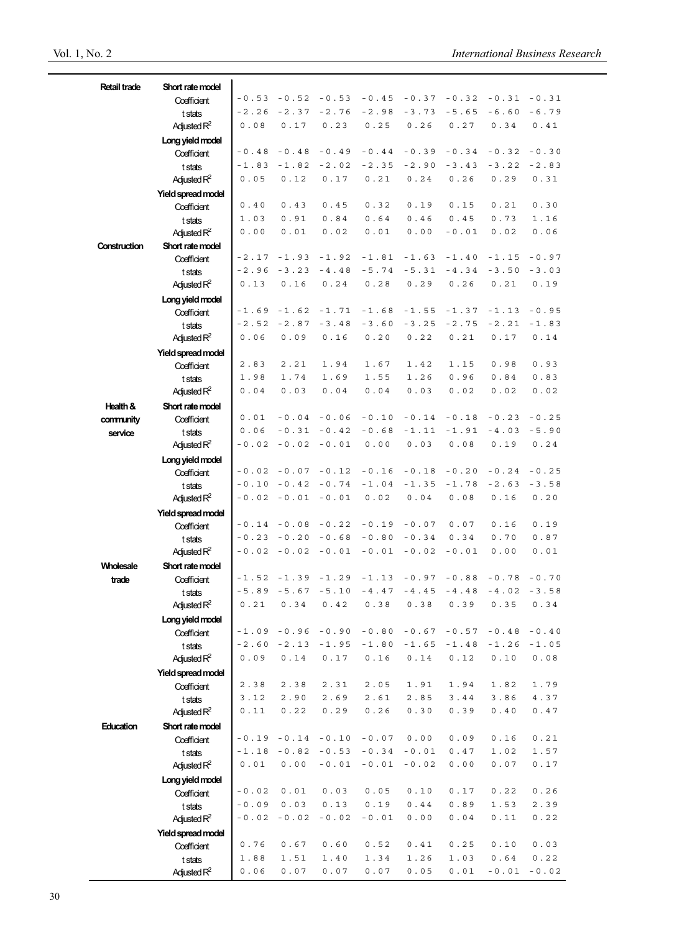$\overline{1}$ 

| <b>Retail trade</b> | Short rate model   |         |         |                 |         |         |                |                |                |
|---------------------|--------------------|---------|---------|-----------------|---------|---------|----------------|----------------|----------------|
|                     | Coefficient        | $-0.53$ | $-0.52$ | $-0.53$         | $-0.45$ | $-0.37$ | $-0.32$        | $-0.31$        | $-0.31$        |
|                     | t stats            | $-2.26$ | $-2.37$ | $-2.76$         | $-2.98$ | $-3.73$ | $-5.65$        | $-6.60$        | $-6.79$        |
|                     | Adjusted $R^2$     | 0.08    | 0.17    | 0.23            | 0.25    | 0.26    | 0.27           | 0.34           | 0.41           |
|                     |                    |         |         |                 |         |         |                |                |                |
|                     | Long yield model   |         |         |                 |         |         |                |                |                |
|                     | Coefficient        | $-0.48$ | $-0.48$ | $-0.49$         | $-0.44$ | $-0.39$ | $-0.34$        | $-0.32$        | $-0.30$        |
|                     | t stats            | $-1.83$ | $-1.82$ | $-2.02$         | $-2.35$ | $-2.90$ | $-3.43$        | $-3.22$        | $-2.83$        |
|                     | Adjusted $R^2$     | 0.05    | 0.12    | 0.17            | 0.21    | 0.24    | 0.26           | 0.29           | 0.31           |
|                     | Yield spread model |         |         |                 |         |         |                |                |                |
|                     | Coefficient        | 0.40    | 0.43    | 0.45            | 0.32    | 0.19    | 0.15           | 0.21           | 0.30           |
|                     |                    | 1.03    | 0.91    | 0.84            | $0.64$  | 0.46    | 0.45           | 0.73           | 1.16           |
|                     | t stats            |         |         |                 |         |         |                |                |                |
|                     | Adjusted $R^2$     | 0.00    | 0.01    | 0.02            | 0.01    | 0.00    | $-0.01$        | 0.02           | 0.06           |
| Construction        | Short rate model   |         |         |                 |         |         |                |                |                |
|                     | Coefficient        | $-2.17$ | $-1.93$ | $-1.92$         | $-1.81$ | $-1.63$ | $-1.40$        | $-1.15$        | $-0.97$        |
|                     | t stats            | $-2.96$ | $-3.23$ | $-4.48$         | $-5.74$ | $-5.31$ | $-4.34$        | $-3.50$        | $-3.03$        |
|                     | Adjusted $R^2$     | 0.13    | 0.16    | 0.24            | 0.28    | 0.29    | 0.26           | 0.21           | 0.19           |
|                     | Long yield model   |         |         |                 |         |         |                |                |                |
|                     | Coefficient        | $-1.69$ | $-1.62$ | $-1.71$         | $-1.68$ | $-1.55$ | $-1.37$        | $-1.13$        | $-0.95$        |
|                     |                    | $-2.52$ | $-2.87$ | $-3.48$         | $-3.60$ | $-3.25$ | $-2.75$        | $-2.21$        | $-1.83$        |
|                     | t stats            |         |         |                 |         |         |                |                |                |
|                     | Adjusted $R^2$     | 0.06    | 0.09    | 0.16            | 0.20    | 0.22    | 0.21           | 0.17           | 0.14           |
|                     | Yield spread model |         |         |                 |         |         |                |                |                |
|                     | Coefficient        | 2.83    | 2.21    | 1.94            | 1.67    | 1.42    | 1.15           | 0.98           | 0.93           |
|                     | t stats            | 1.98    | 1.74    | 1.69            | 1.55    | 1.26    | 0.96           | 0.84           | 0.83           |
|                     | Adjusted $R^2$     | 0.04    | 0.03    | 0.04            | 0.04    | 0.03    | 0.02           | 0.02           | 0.02           |
| Health &            | Short rate model   |         |         |                 |         |         |                |                |                |
|                     | Coefficient        | 0.01    | $-0.04$ | $-0.06$         | $-0.10$ | $-0.14$ | $-0.18$        | $-0.23$        | $-0.25$        |
| community           |                    | 0.06    | $-0.31$ | $-0.42$         | $-0.68$ | $-1.11$ | $-1.91$        | $-4.03$        | $-5.90$        |
| service             | t stats            |         |         |                 |         |         |                |                |                |
|                     | Adjusted $R^2$     | $-0.02$ | $-0.02$ | $-0.01$         | 0.00    | 0.03    | 0.08           | 0.19           | 0.24           |
|                     | Long yield model   |         |         |                 |         |         |                |                |                |
|                     | Coefficient        | $-0.02$ | $-0.07$ | $-0.12$         | $-0.16$ | $-0.18$ | $-0.20$        | $-0.24$        | $-0.25$        |
|                     | t stats            | $-0.10$ | $-0.42$ | $-0.74$         | $-1.04$ | $-1.35$ | $-1.78$        | $-2.63$        | $-3.58$        |
|                     | Adjusted $R^2$     | $-0.02$ | $-0.01$ | $-0.01$         | 0.02    | 0.04    | 0.08           | 0.16           | 0.20           |
|                     | Yield spread model |         |         |                 |         |         |                |                |                |
|                     | Coefficient        | $-0.14$ | $-0.08$ | $-0.22$         | $-0.19$ | $-0.07$ | 0.07           | 0.16           | 0.19           |
|                     |                    | $-0.23$ | $-0.20$ | $-0.68$         | $-0.80$ | $-0.34$ | 0.34           | 0.70           | 0.87           |
|                     | t stats            |         |         |                 |         |         |                |                |                |
|                     | Adjusted $R^2$     | $-0.02$ | $-0.02$ | $-0.01$         | $-0.01$ | $-0.02$ | $-0.01$        | 0.00           | 0.01           |
| <b>Wholesale</b>    | Short rate model   |         |         |                 |         |         |                |                |                |
| trade               | Coefficient        | $-1.52$ | $-1.39$ | $-1.29$         | $-1.13$ | $-0.97$ | $-0.88$        | $-0.78$        | $-0.70$        |
|                     | t stats            | $-5.89$ | $-5.67$ | $-5.10$         | $-4.47$ | $-4.45$ | $-4.48$        | $-4.02$        | $-3.58$        |
|                     | Adjusted $R^2$     | $0.21$  | 0.34    | $0\,$ . 4 $2\,$ | 0.38    | $0.38$  | $0.39$         | $0\,$ . $3\,5$ | $0\,$ . $3\,4$ |
|                     | Long yield model   |         |         |                 |         |         |                |                |                |
|                     | Coefficient        | $-1.09$ | $-0.96$ | $-0.90$         | $-0.80$ | $-0.67$ | $-0.57$        | $-0.48$        | $-0.40$        |
|                     | tstats             | $-2.60$ | $-2.13$ | $-1.95$         | $-1.80$ | $-1.65$ | $-1.48\,$      | $-1.26$        | $-1.05$        |
|                     | Adjusted $R^2$     | 0.09    | 0.14    | 0.17            | 0.16    | 0.14    | 0.12           | 0.10           | 0.08           |
|                     |                    |         |         |                 |         |         |                |                |                |
|                     | Yield spread model |         |         |                 |         |         |                |                |                |
|                     | Coefficient        | 2.38    | 2.38    | 2.31            | 2.05    | 1.91    | 1.94           | 1.82           | 1.79           |
|                     | tstats             | 3.12    | 2.90    | 2.69            | 2.61    | 2.85    | 3.44           | 3.86           | 4.37           |
|                     | Adjusted $R^2$     | 0.11    | 0.22    | 0.29            | 0.26    | 0.30    | 0.39           | 0.40           | 0.47           |
| Education           | Short rate model   |         |         |                 |         |         |                |                |                |
|                     | Coefficient        | $-0.19$ | $-0.14$ | $-0.10$         | $-0.07$ | 0.00    | 0.09           | 0.16           | 0.21           |
|                     | tstats             | $-1.18$ | $-0.82$ | $-0.53$         | $-0.34$ | $-0.01$ | $0\,$ . $4\,7$ | 1.02           | $1.57$         |
|                     | Adjusted $R^2$     | 0.01    | 0.00    | $-0.01$         | $-0.01$ | $-0.02$ | 0.00           | 0.07           | 0.17           |
|                     |                    |         |         |                 |         |         |                |                |                |
|                     | Long yield model   |         |         |                 |         |         |                |                |                |
|                     | Coefficient        | $-0.02$ | 0.01    | 0.03            | 0.05    | 0.10    | 0.17           | 0.22           | 0.26           |
|                     | tstats             | $-0.09$ | 0.03    | 0.13            | 0.19    | $0.44$  | 0.89           | 1.53           | 2.39           |
|                     | Adjusted $R^2$     | $-0.02$ | $-0.02$ | $-0.02$         | $-0.01$ | 0.00    | 0.04           | 0.11           | 0.22           |
|                     | Yield spread model |         |         |                 |         |         |                |                |                |
|                     | Coefficient        | 0.76    | 0.67    | 0.60            | 0.52    | 0.41    | 0.25           | 0.10           | 0.03           |
|                     | t stats            | 1.88    | 1.51    | 1.40            | 1.34    | $1.26$  | 1.03           | 0.64           | $0.22$         |
|                     | Adjusted $R^2$     | 0.06    | 0.07    | 0.07            | 0.07    | 0.05    | 0.01           | $-0.01$        | $-0.02$        |
|                     |                    |         |         |                 |         |         |                |                |                |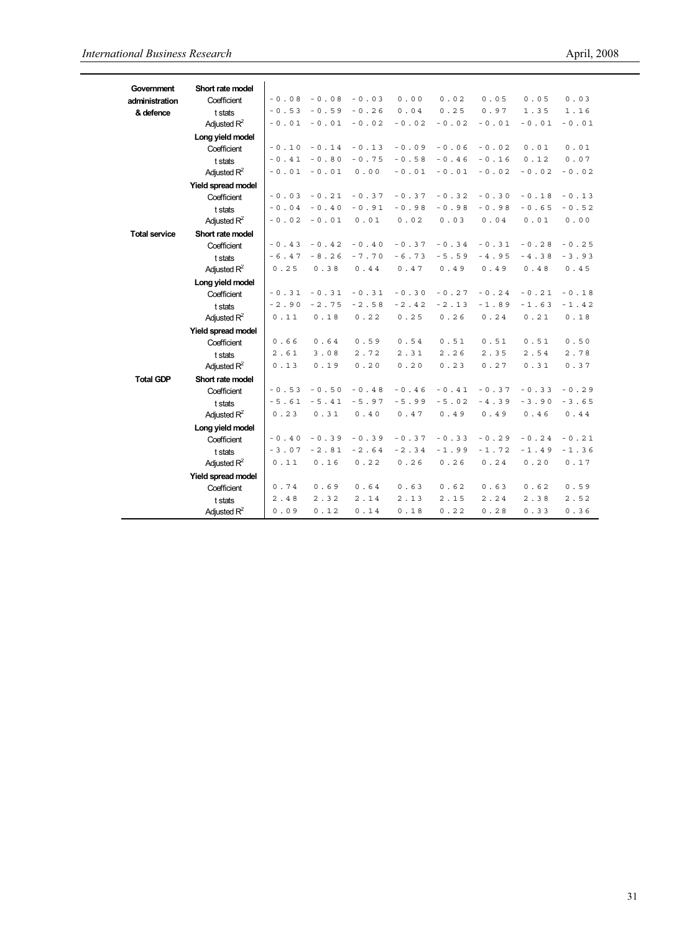| Government           | Short rate model   |         |         |         |         |         |         |         |         |
|----------------------|--------------------|---------|---------|---------|---------|---------|---------|---------|---------|
| administration       | Coefficient        | $-0.08$ | $-0.08$ | $-0.03$ | 0.00    | 0.02    | 0.05    | 0.05    | 0.03    |
| & defence            | t stats            | $-0.53$ | $-0.59$ | $-0.26$ | 0.04    | 0.25    | 0.97    | 1.35    | 1.16    |
|                      | Adjusted $R^2$     | $-0.01$ | $-0.01$ | $-0.02$ | $-0.02$ | $-0.02$ | $-0.01$ | $-0.01$ | $-0.01$ |
|                      | Long yield model   |         |         |         |         |         |         |         |         |
|                      | Coefficient        | $-0.10$ | $-0.14$ | $-0.13$ | $-0.09$ | $-0.06$ | $-0.02$ | 0.01    | 0.01    |
|                      | t stats            | $-0.41$ | $-0.80$ | $-0.75$ | $-0.58$ | $-0.46$ | $-0.16$ | 0.12    | 0.07    |
|                      | Adjusted $R^2$     | $-0.01$ | $-0.01$ | 0.00    | $-0.01$ | $-0.01$ | $-0.02$ | $-0.02$ | $-0.02$ |
|                      | Yield spread model |         |         |         |         |         |         |         |         |
|                      | Coefficient        | $-0.03$ | $-0.21$ | $-0.37$ | $-0.37$ | $-0.32$ | $-0.30$ | $-0.18$ | $-0.13$ |
|                      | t stats            | $-0.04$ | $-0.40$ | $-0.91$ | $-0.98$ | $-0.98$ | $-0.98$ | $-0.65$ | $-0.52$ |
|                      | Adjusted $R^2$     | $-0.02$ | $-0.01$ | 0.01    | 0.02    | 0.03    | 0.04    | 0.01    | 0.00    |
| <b>Total service</b> | Short rate model   |         |         |         |         |         |         |         |         |
|                      | Coefficient        | $-0.43$ | $-0.42$ | $-0.40$ | $-0.37$ | $-0.34$ | $-0.31$ | $-0.28$ | $-0.25$ |
|                      | t stats            | $-6.47$ | $-8.26$ | $-7.70$ | $-6.73$ | $-5.59$ | $-4.95$ | $-4.38$ | $-3.93$ |
|                      | Adjusted $R^2$     | 0.25    | 0.38    | 0.44    | 0.47    | 0.49    | 0.49    | 0.48    | 0.45    |
|                      | Long yield model   |         |         |         |         |         |         |         |         |
|                      | Coefficient        | $-0.31$ | $-0.31$ | $-0.31$ | $-0.30$ | $-0.27$ | $-0.24$ | $-0.21$ | $-0.18$ |
|                      | t stats            | $-2.90$ | $-2.75$ | $-2.58$ | $-2.42$ | $-2.13$ | $-1.89$ | $-1.63$ | $-1.42$ |
|                      | Adjusted $R^2$     | 0.11    | 0.18    | 0.22    | 0.25    | 0.26    | 0.24    | 0.21    | 0.18    |
|                      | Yield spread model |         |         |         |         |         |         |         |         |
|                      | Coefficient        | 0.66    | 0.64    | 0.59    | 0.54    | 0.51    | 0.51    | 0.51    | 0.50    |
|                      | t stats            | 2.61    | 3.08    | 2.72    | 2.31    | 2.26    | 2.35    | $2.54$  | 2.78    |
|                      | Adjusted $R^2$     | 0.13    | 0.19    | 0.20    | 0.20    | 0.23    | 0.27    | 0.31    | 0.37    |
| <b>Total GDP</b>     | Short rate model   |         |         |         |         |         |         |         |         |
|                      | Coefficient        | $-0.53$ | $-0.50$ | $-0.48$ | $-0.46$ | $-0.41$ | $-0.37$ | $-0.33$ | $-0.29$ |
|                      | tstats             | $-5.61$ | $-5.41$ | $-5.97$ | $-5.99$ | $-5.02$ | $-4.39$ | $-3.90$ | $-3.65$ |
|                      | Adjusted $R^2$     | 0.23    | 0.31    | 0.40    | $0.47$  | 0.49    | 0.49    | 0.46    | 0.44    |
|                      | Long yield model   |         |         |         |         |         |         |         |         |
|                      | Coefficient        | $-0.40$ | $-0.39$ | $-0.39$ | $-0.37$ | $-0.33$ | $-0.29$ | $-0.24$ | $-0.21$ |
|                      | t stats            | $-3.07$ | $-2.81$ | $-2.64$ | $-2.34$ | $-1.99$ | $-1.72$ | $-1.49$ | $-1.36$ |
|                      | Adjusted $R^2$     | 0.11    | 0.16    | 0.22    | 0.26    | 0.26    | 0.24    | 0.20    | 0.17    |
|                      | Yield spread model |         |         |         |         |         |         |         |         |
|                      | Coefficient        | 0.74    | 0.69    | 0.64    | 0.63    | 0.62    | 0.63    | 0.62    | 0.59    |
|                      | t stats            | $2.48$  | 2.32    | 2.14    | 2.13    | 2.15    | 2.24    | 2.38    | 2.52    |
|                      | Adjusted $R^2$     | 0.09    | 0.12    | 0.14    | 0.18    | 0.22    | 0.28    | 0.33    | 0.36    |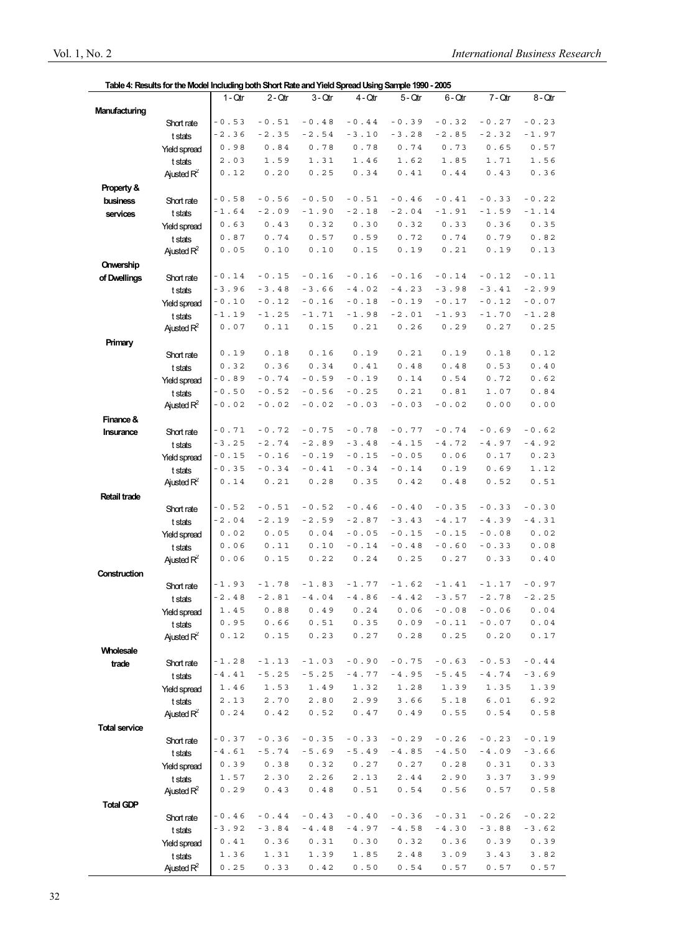|                      | Table 4: Results for the Model Including both Short Rate and Yield Spread Using Sample 1990 - 2005 |            |           |           |                                            |           |           |           |                  |
|----------------------|----------------------------------------------------------------------------------------------------|------------|-----------|-----------|--------------------------------------------|-----------|-----------|-----------|------------------|
|                      |                                                                                                    | $1 - Q$ tr | $2 - Qtr$ | $3 - Qtr$ | $4 - Qtr$                                  | $5 - Qtr$ | $6 - Qtr$ | $7 - Qtr$ | 8 - Qtr          |
| Manufacturing        |                                                                                                    |            |           |           |                                            |           |           |           |                  |
|                      | Short rate                                                                                         | $-0.53$    | $-0.51$   | $-0.48$   | $-0.44$                                    | $-0.39$   | $-0.32\,$ | $-0.27$   | $-0.23$          |
|                      | t stats                                                                                            | $-2.36$    | $-2.35$   | $-2.54$   | $-3.10$                                    | $-3.28$   | $-2.85$   | $-2.32$   | $-1.97$          |
|                      | Yield spread                                                                                       | 0.98       | 0.84      | 0.78      | 0.78                                       | $0.74$    | 0.73      | 0.65      | 0.57             |
|                      | t stats                                                                                            | 2.03       | 1.59      | 1.31      | 1.46                                       | 1.62      | 1.85      | 1.71      | 1.56             |
|                      | Ajusted $R^2$                                                                                      | 0.12       | 0.20      | 0.25      | 0.34                                       | 0.41      | 0.44      | 0.43      | 0.36             |
|                      |                                                                                                    |            |           |           |                                            |           |           |           |                  |
| Property &           |                                                                                                    | $-0.58$    |           | $-0.50$   | $-0.51$                                    |           |           | $-0.33$   | $-0.22$          |
| business             | Short rate                                                                                         |            | $-0.56$   |           |                                            | $-0.46$   | $-0.41$   |           |                  |
| services             | t stats                                                                                            | $-1.64$    | $-2.09$   | $-1.90$   | $-2.18$                                    | $-2.04$   | $-1.91$   | $-1.59$   | $-1.14$          |
|                      | Yield spread                                                                                       | 0.63       | 0.43      | 0.32      | 0.30                                       | 0.32      | 0.33      | 0.36      | 0.35             |
|                      | t stats                                                                                            | 0.87       | 0.74      | 0.57      | 0.59                                       | 0.72      | 0.74      | 0.79      | 0.82             |
|                      | Ajusted $R^2$                                                                                      | 0.05       | 0.10      | 0.10      | 0.15                                       | 0.19      | 0.21      | 0.19      | 0.13             |
| Onwership            |                                                                                                    |            |           |           |                                            |           |           |           |                  |
| of Dwellings         | Short rate                                                                                         | $-0.14$    | $-0.15$   | $-0.16$   | $-0.16$                                    | $-0.16$   | $-0.14$   | $-0.12$   | $-0.11$          |
|                      | t stats                                                                                            | $-3.96$    | $-3.48$   | $-3.66$   | $-4.02$                                    | $-4.23$   | $-3.98$   | $-3.41$   | $-2.99$          |
|                      |                                                                                                    | $-0.10$    | $-0.12$   | $-0.16$   | $-0.18$                                    | $-0.19$   | $-0.17$   | $-0.12$   | $-$ 0 . 0 7 $\,$ |
|                      | Yield spread                                                                                       | $-1.19$    | $-1.25$   | $-1.71$   | $-1.98$                                    | $-2.01$   | $-1.93$   | $-1.70$   | $-1.28$          |
|                      | t stats                                                                                            |            |           |           |                                            |           |           |           |                  |
|                      | Ajusted $R^2$                                                                                      | 0.07       | 0.11      | 0.15      | 0.21                                       | 0.26      | 0.29      | 0.27      | 0.25             |
| Primary              |                                                                                                    |            |           |           |                                            |           |           |           |                  |
|                      | Short rate                                                                                         | 0.19       | 0.18      | 0.16      | 0.19                                       | 0.21      | 0.19      | 0.18      | 0.12             |
|                      | t stats                                                                                            | 0.32       | 0.36      | 0.34      | 0.41                                       | 0.48      | 0.48      | 0.53      | 0.40             |
|                      | Yield spread                                                                                       | $-0.89$    | $-0.74$   | $-0.59$   | $-0.19$                                    | 0.14      | 0.54      | 0.72      | 0.62             |
|                      | t stats                                                                                            | $-0.50$    | $-0.52$   | $-0.56$   | $-0.25$                                    | 0.21      | 0.81      | 1.07      | 0.84             |
|                      | Ajusted $R^2$                                                                                      | $-0.02$    | $-0.02$   | $-0.02$   | $-0.03$                                    | $-0.03$   | $-0.02$   | 0.00      | 0.00             |
| Finance &            |                                                                                                    |            |           |           |                                            |           |           |           |                  |
|                      |                                                                                                    | $-0.71$    | $-0.72$   | $-0.75$   | $-0.78$                                    | $-0.77$   | $-0.74$   | $-0.69$   | $-0.62$          |
| Insurance            | Short rate                                                                                         | $-3.25$    | $-2.74$   | $-2.89$   | $-3.48$                                    | $-4.15$   | $-4.72$   | $-4.97$   | $-4.92$          |
|                      | t stats                                                                                            |            |           |           |                                            |           |           |           |                  |
|                      | Yield spread                                                                                       | $-0.15$    | $-0.16$   | $-0.19$   | $-0.15$                                    | $-0.05$   | 0.06      | 0.17      | 0.23             |
|                      | t stats                                                                                            | $-0.35$    | $-0.34$   | $-0.41$   | $-0.34$                                    | $-0.14$   | 0.19      | 0.69      | 1.12             |
|                      | Ajusted $R^2$                                                                                      | 0.14       | 0.21      | 0.28      | 0.35                                       | 0.42      | 0.48      | 0.52      | 0.51             |
| <b>Retail trade</b>  |                                                                                                    |            |           |           |                                            |           |           |           |                  |
|                      | Short rate                                                                                         | $-0.52$    | $-0.51$   | $-0.52$   | $-0.46$                                    | $-0.40$   | $-0.35$   | $-0.33$   | $-0.30$          |
|                      | t stats                                                                                            | $-2.04$    | $-2.19$   | $-2.59$   | $-2.87$                                    | $-3.43$   | $-4.17$   | $-4.39$   | $-4.31$          |
|                      | Yield spread                                                                                       | 0.02       | 0.05      | 0.04      | $-0.05$                                    | $-0.15$   | $-0.15$   | $-0.08$   | 0.02             |
|                      | t stats                                                                                            | 0.06       | 0.11      | 0.10      | $-0.14$                                    | $-0.48$   | $-0.60$   | $-0.33$   | 0.08             |
|                      | Ajusted $R^2$                                                                                      | 0.06       | 0.15      | 0.22      | 0.24                                       | 0.25      | 0.27      | 0.33      | 0.40             |
|                      |                                                                                                    |            |           |           |                                            |           |           |           |                  |
| Construction         |                                                                                                    |            |           |           |                                            |           |           |           |                  |
|                      | Short rate                                                                                         | $-1.93$    | $-1.78$   | $-1.83$   | $-1.77$                                    | $-1.62$   | $-1.41$   | $-1.17$   | $-0.97$          |
|                      | t stats                                                                                            | $-2.48$    |           |           | $-2.81 - 4.04 - 4.86 - 4.42 - 3.57 - 2.78$ |           |           |           | $-2.25$          |
|                      | Yield spread                                                                                       | 1.45       | 0.88      | 0.49      | 0.24                                       | 0.06      | $-0.08$   | $-0.06$   | 0.04             |
|                      | t stats                                                                                            | 0.95       | 0.66      | 0.51      | 0.35                                       | 0.09      | $-0.11$   | $-0.07$   | 0.04             |
|                      | Ajusted $R^2$                                                                                      | 0.12       | 0.15      | 0.23      | 0.27                                       | 0.28      | 0.25      | 0.20      | 0.17             |
| <b>Wholesale</b>     |                                                                                                    |            |           |           |                                            |           |           |           |                  |
| trade                | Short rate                                                                                         | -1.28      | $-1.13$   | $-1.03$   | $-0.90$                                    | $-0.75$   | $-0.63$   | $-0.53$   | $-0.44$          |
|                      | t stats                                                                                            | $-4.41$    | $-5.25$   | $-5.25$   | $-4.77$                                    | $-4.95$   | $-5.45$   | $-4.74$   | $-3.69$          |
|                      |                                                                                                    | 1.46       | 1.53      | 1.49      | 1.32                                       | 1.28      | 1.39      | 1.35      | 1.39             |
|                      | Yield spread                                                                                       |            |           |           |                                            |           |           |           |                  |
|                      | t stats                                                                                            | 2.13       | $2.70$    | $2.80$    | 2.99                                       | 3.66      | 5.18      | $6.01$    | 6.92             |
|                      | Ajusted $R^2$                                                                                      | 0.24       | 0.42      | 0.52      | 0.47                                       | 0.49      | 0.55      | 0.54      | 0.58             |
| <b>Total service</b> |                                                                                                    |            |           |           |                                            |           |           |           |                  |
|                      | Short rate                                                                                         | - 0 . 3 7  | $-0.36$   | $-0.35$   | $-0.33$                                    | $-0.29$   | $-0.26$   | $-0.23$   | $-0.19$          |
|                      | t stats                                                                                            | $-4.61$    | $-5.74$   | $-5.69$   | $-5.49$                                    | $-4.85$   | $-4.50$   | $-4.09$   | $-3.66$          |
|                      | Yield spread                                                                                       | 0.39       | 0.38      | 0.32      | 0.27                                       | 0.27      | 0.28      | 0.31      | 0.33             |
|                      | t stats                                                                                            | 1.57       | 2.30      | 2.26      | 2.13                                       | 2.44      | 2.90      | 3.37      | 3.99             |
|                      | Ajusted $R^2$                                                                                      | 0.29       | 0.43      | 0.48      | 0.51                                       | 0.54      | 0.56      | 0.57      | 0.58             |
|                      |                                                                                                    |            |           |           |                                            |           |           |           |                  |
| <b>Total GDP</b>     |                                                                                                    |            |           |           |                                            |           |           |           |                  |
|                      | Short rate                                                                                         | -0.46      | $-0.44$   | $-0.43$   | $-0.40$                                    | $-0.36$   | $-0.31$   | $-0.26$   | $-0.22$          |
|                      | t stats                                                                                            | $-3.92$    | $-3.84$   | $-4.48$   | $-4.97$                                    | $-4.58$   | $-4.30$   | $-3.88$   | $-3.62$          |
|                      | Yield spread                                                                                       | 0.41       | 0.36      | 0.31      | 0.30                                       | 0.32      | 0.36      | 0.39      | 0.39             |
|                      | t stats                                                                                            | 1.36       | 1.31      | 1.39      | 1.85                                       | 2.48      | 3.09      | 3.43      | 3.82             |
|                      | Ajusted $R^2$                                                                                      | 0.25       | 0.33      | 0.42      | 0.50                                       | 0.54      | 0.57      | 0.57      | 0.57             |